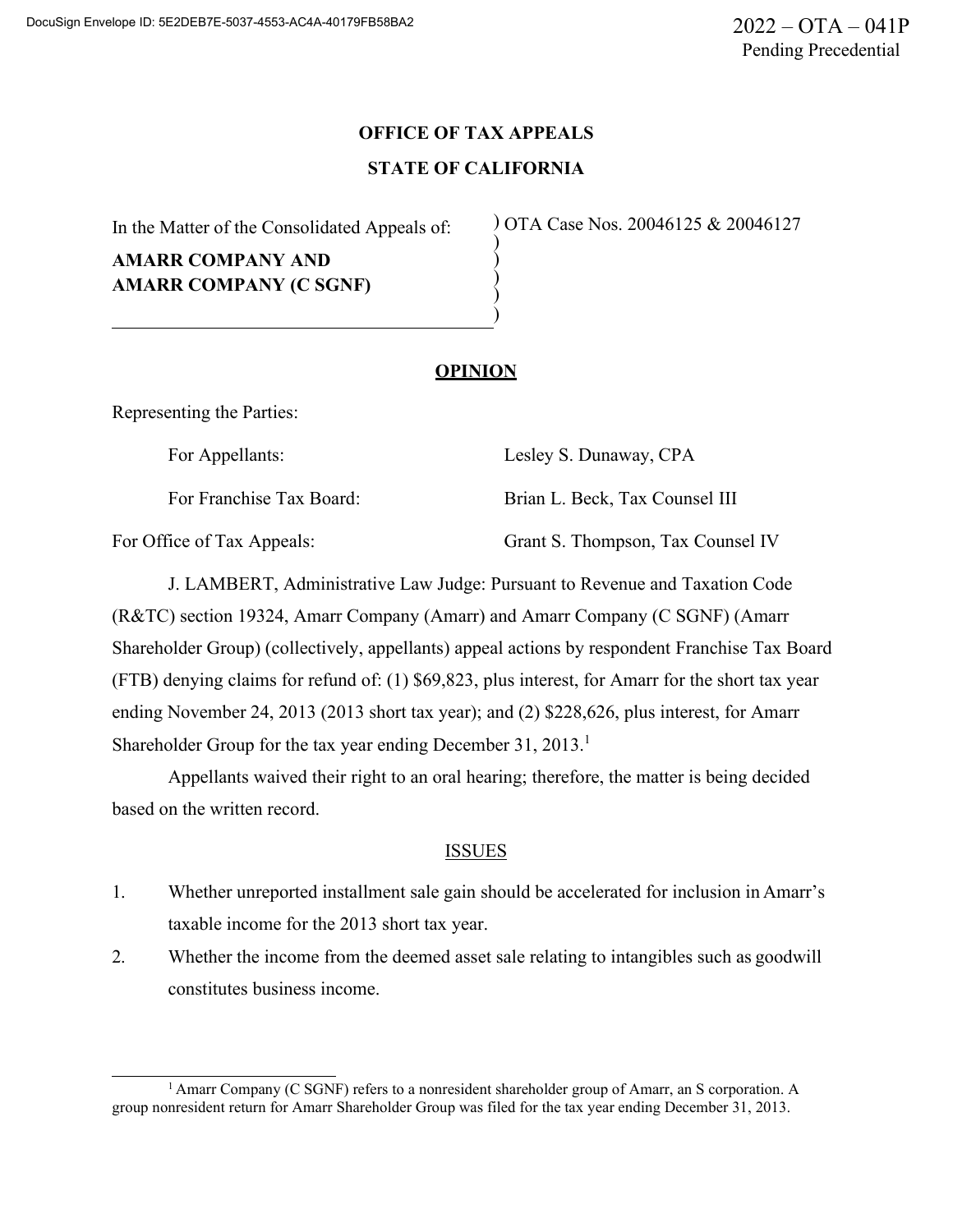# **OFFICE OF TAX APPEALS STATE OF CALIFORNIA**

) ) ) ) )

In the Matter of the Consolidated Appeals of:

**AMARR COMPANY AND AMARR COMPANY (C SGNF)** ) OTA Case Nos. 20046125 & 20046127

# **OPINION**

Representing the Parties:

For Appellants: Lesley S. Dunaway, CPA

For Franchise Tax Board: Brian L. Beck, Tax Counsel III For Office of Tax Appeals: Grant S. Thompson, Tax Counsel IV

J. LAMBERT, Administrative Law Judge: Pursuant to Revenue and Taxation Code (R&TC) section 19324, Amarr Company (Amarr) and Amarr Company (C SGNF) (Amarr Shareholder Group) (collectively, appellants) appeal actions by respondent Franchise Tax Board (FTB) denying claims for refund of: (1) \$69,823, plus interest, for Amarr for the short tax year ending November 24, 2013 (2013 short tax year); and (2) \$228,626, plus interest, for Amarr Shareholder Group for the tax year ending December 31, 2013.<sup>1</sup>

Appellants waived their right to an oral hearing; therefore, the matter is being decided based on the written record.

### ISSUES

- 1. Whether unreported installment sale gain should be accelerated for inclusion in Amarr's taxable income for the 2013 short tax year.
- 2. Whether the income from the deemed asset sale relating to intangibles such as goodwill constitutes business income.

<sup>1</sup> Amarr Company (C SGNF) refers to a nonresident shareholder group of Amarr, an S corporation. A group nonresident return for Amarr Shareholder Group was filed for the tax year ending December 31, 2013.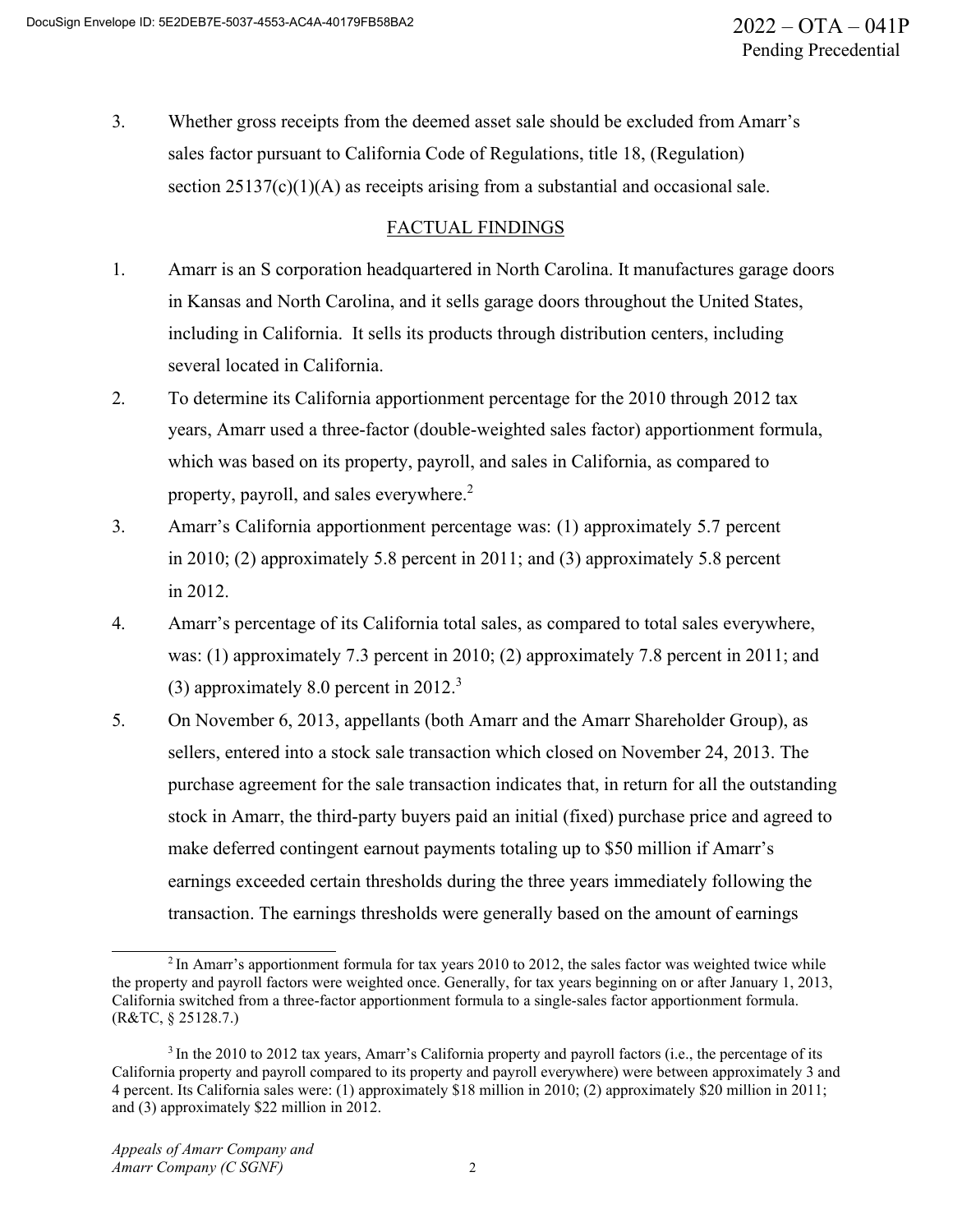3. Whether gross receipts from the deemed asset sale should be excluded from Amarr's sales factor pursuant to California Code of Regulations, title 18, (Regulation) section  $25137(c)(1)(A)$  as receipts arising from a substantial and occasional sale.

# FACTUAL FINDINGS

- 1. Amarr is an S corporation headquartered in North Carolina. It manufactures garage doors in Kansas and North Carolina, and it sells garage doors throughout the United States, including in California. It sells its products through distribution centers, including several located in California.
- 2. To determine its California apportionment percentage for the 2010 through 2012 tax years, Amarr used a three-factor (double-weighted sales factor) apportionment formula, which was based on its property, payroll, and sales in California, as compared to property, payroll, and sales everywhere.<sup>2</sup>
- 3. Amarr's California apportionment percentage was: (1) approximately 5.7 percent in 2010; (2) approximately 5.8 percent in 2011; and (3) approximately 5.8 percent in 2012.
- 4. Amarr's percentage of its California total sales, as compared to total sales everywhere, was: (1) approximately 7.3 percent in 2010; (2) approximately 7.8 percent in 2011; and (3) approximately 8.0 percent in  $2012<sup>3</sup>$
- 5. On November 6, 2013, appellants (both Amarr and the Amarr Shareholder Group), as sellers, entered into a stock sale transaction which closed on November 24, 2013. The purchase agreement for the sale transaction indicates that, in return for all the outstanding stock in Amarr, the third-party buyers paid an initial (fixed) purchase price and agreed to make deferred contingent earnout payments totaling up to \$50 million if Amarr's earnings exceeded certain thresholds during the three years immediately following the transaction. The earnings thresholds were generally based on the amount of earnings

<sup>&</sup>lt;sup>2</sup> In Amarr's apportionment formula for tax years 2010 to 2012, the sales factor was weighted twice while the property and payroll factors were weighted once. Generally, for tax years beginning on or after January 1, 2013, California switched from a three-factor apportionment formula to a single-sales factor apportionment formula. (R&TC, § 25128.7.)

<sup>&</sup>lt;sup>3</sup> In the 2010 to 2012 tax years, Amarr's California property and payroll factors (i.e., the percentage of its California property and payroll compared to its property and payroll everywhere) were between approximately 3 and 4 percent. Its California sales were: (1) approximately \$18 million in 2010; (2) approximately \$20 million in 2011; and (3) approximately \$22 million in 2012.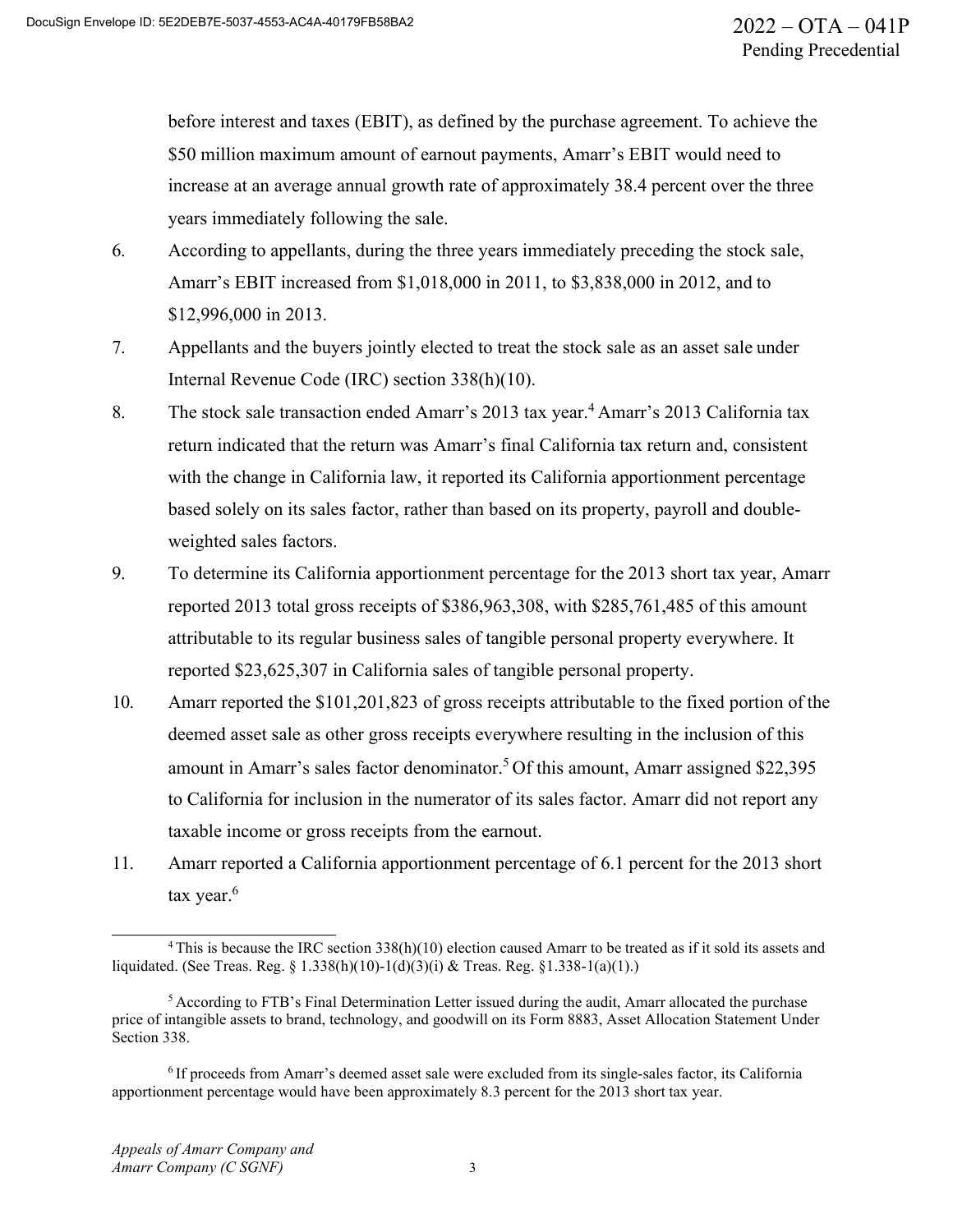before interest and taxes (EBIT), as defined by the purchase agreement. To achieve the \$50 million maximum amount of earnout payments, Amarr's EBIT would need to increase at an average annual growth rate of approximately 38.4 percent over the three years immediately following the sale.

- 6. According to appellants, during the three years immediately preceding the stock sale, Amarr's EBIT increased from \$1,018,000 in 2011, to \$3,838,000 in 2012, and to \$12,996,000 in 2013.
- 7. Appellants and the buyers jointly elected to treat the stock sale as an asset sale under Internal Revenue Code (IRC) section 338(h)(10).
- 8. The stock sale transaction ended Amarr's 2013 tax year.<sup>4</sup> Amarr's 2013 California tax return indicated that the return was Amarr's final California tax return and, consistent with the change in California law, it reported its California apportionment percentage based solely on its sales factor, rather than based on its property, payroll and doubleweighted sales factors.
- 9. To determine its California apportionment percentage for the 2013 short tax year, Amarr reported 2013 total gross receipts of \$386,963,308, with \$285,761,485 of this amount attributable to its regular business sales of tangible personal property everywhere. It reported \$23,625,307 in California sales of tangible personal property.
- 10. Amarr reported the \$101,201,823 of gross receipts attributable to the fixed portion of the deemed asset sale as other gross receipts everywhere resulting in the inclusion of this amount in Amarr's sales factor denominator.<sup>5</sup> Of this amount, Amarr assigned \$22,395 to California for inclusion in the numerator of its sales factor. Amarr did not report any taxable income or gross receipts from the earnout.
- 11. Amarr reported a California apportionment percentage of 6.1 percent for the 2013 short tax year. $6$

<sup>&</sup>lt;sup>4</sup> This is because the IRC section 338(h)(10) election caused Amarr to be treated as if it sold its assets and liquidated. (See Treas. Reg. § 1.338(h)(10)-1(d)(3)(i) & Treas. Reg. §1.338-1(a)(1).)

<sup>5</sup> According to FTB's Final Determination Letter issued during the audit, Amarr allocated the purchase price of intangible assets to brand, technology, and goodwill on its Form 8883, Asset Allocation Statement Under Section 338.

<sup>6</sup> If proceeds from Amarr's deemed asset sale were excluded from its single-sales factor, its California apportionment percentage would have been approximately 8.3 percent for the 2013 short tax year.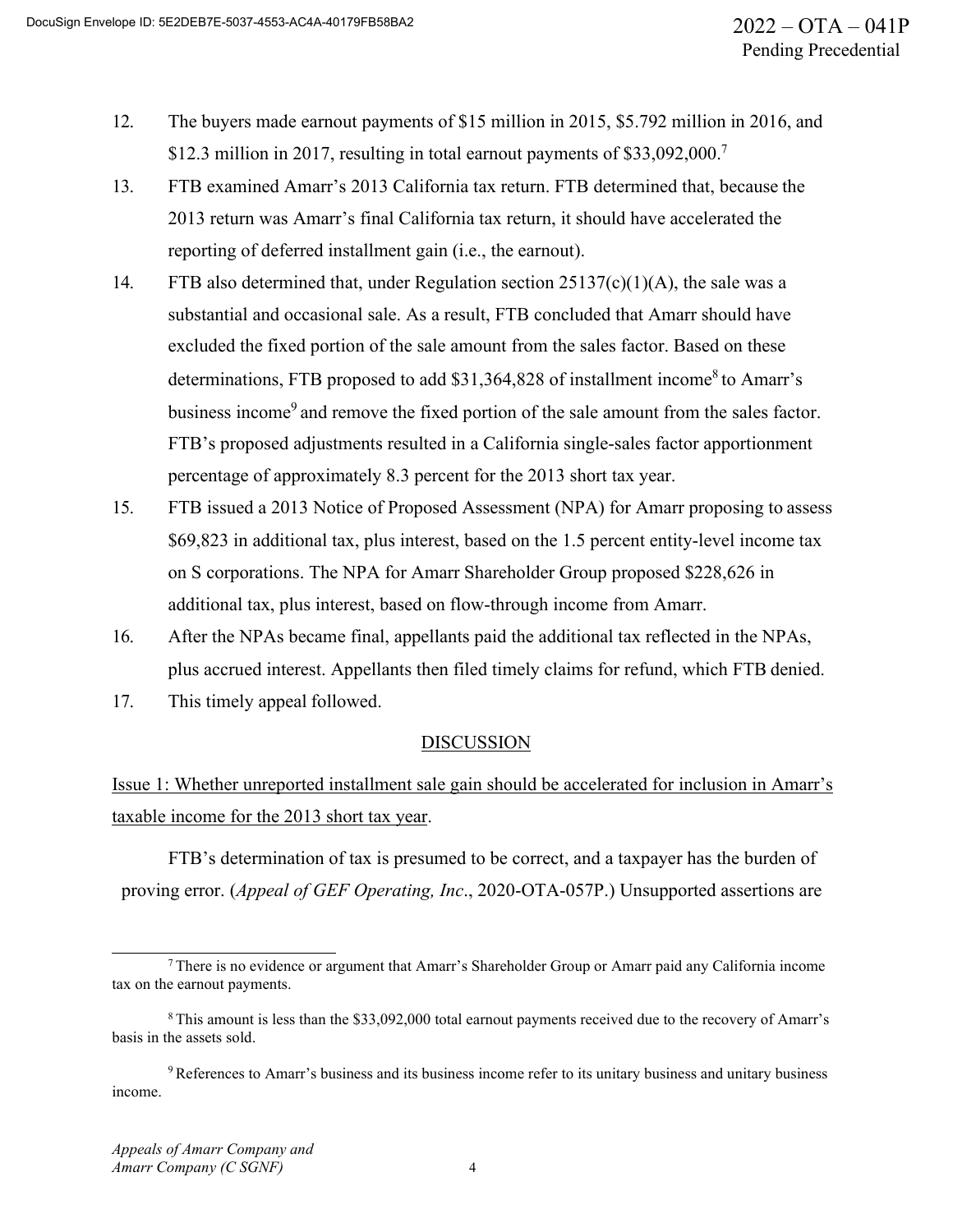- 12. The buyers made earnout payments of \$15 million in 2015, \$5.792 million in 2016, and \$12.3 million in 2017, resulting in total earnout payments of  $$33,092,000$ .<sup>7</sup>
- 13. FTB examined Amarr's 2013 California tax return. FTB determined that, because the 2013 return was Amarr's final California tax return, it should have accelerated the reporting of deferred installment gain (i.e., the earnout).
- 14. FTB also determined that, under Regulation section 25137(c)(1)(A), the sale was a substantial and occasional sale. As a result, FTB concluded that Amarr should have excluded the fixed portion of the sale amount from the sales factor. Based on these determinations, FTB proposed to add  $$31,364,828$  of installment income<sup>8</sup> to Amarr's business income<sup>9</sup> and remove the fixed portion of the sale amount from the sales factor. FTB's proposed adjustments resulted in a California single-sales factor apportionment percentage of approximately 8.3 percent for the 2013 short tax year.
- 15. FTB issued a 2013 Notice of Proposed Assessment (NPA) for Amarr proposing to assess \$69,823 in additional tax, plus interest, based on the 1.5 percent entity-level income tax on S corporations. The NPA for Amarr Shareholder Group proposed \$228,626 in additional tax, plus interest, based on flow-through income from Amarr.
- 16. After the NPAs became final, appellants paid the additional tax reflected in the NPAs, plus accrued interest. Appellants then filed timely claims for refund, which FTB denied.
- 17. This timely appeal followed.

### **DISCUSSION**

Issue 1: Whether unreported installment sale gain should be accelerated for inclusion in Amarr's taxable income for the 2013 short tax year.

FTB's determination of tax is presumed to be correct, and a taxpayer has the burden of proving error. (*Appeal of GEF Operating, Inc*., 2020-OTA-057P.) Unsupported assertions are

<sup>&</sup>lt;sup>7</sup> There is no evidence or argument that Amarr's Shareholder Group or Amarr paid any California income tax on the earnout payments.

<sup>&</sup>lt;sup>8</sup> This amount is less than the \$33,092,000 total earnout payments received due to the recovery of Amarr's basis in the assets sold.

<sup>&</sup>lt;sup>9</sup> References to Amarr's business and its business income refer to its unitary business and unitary business income.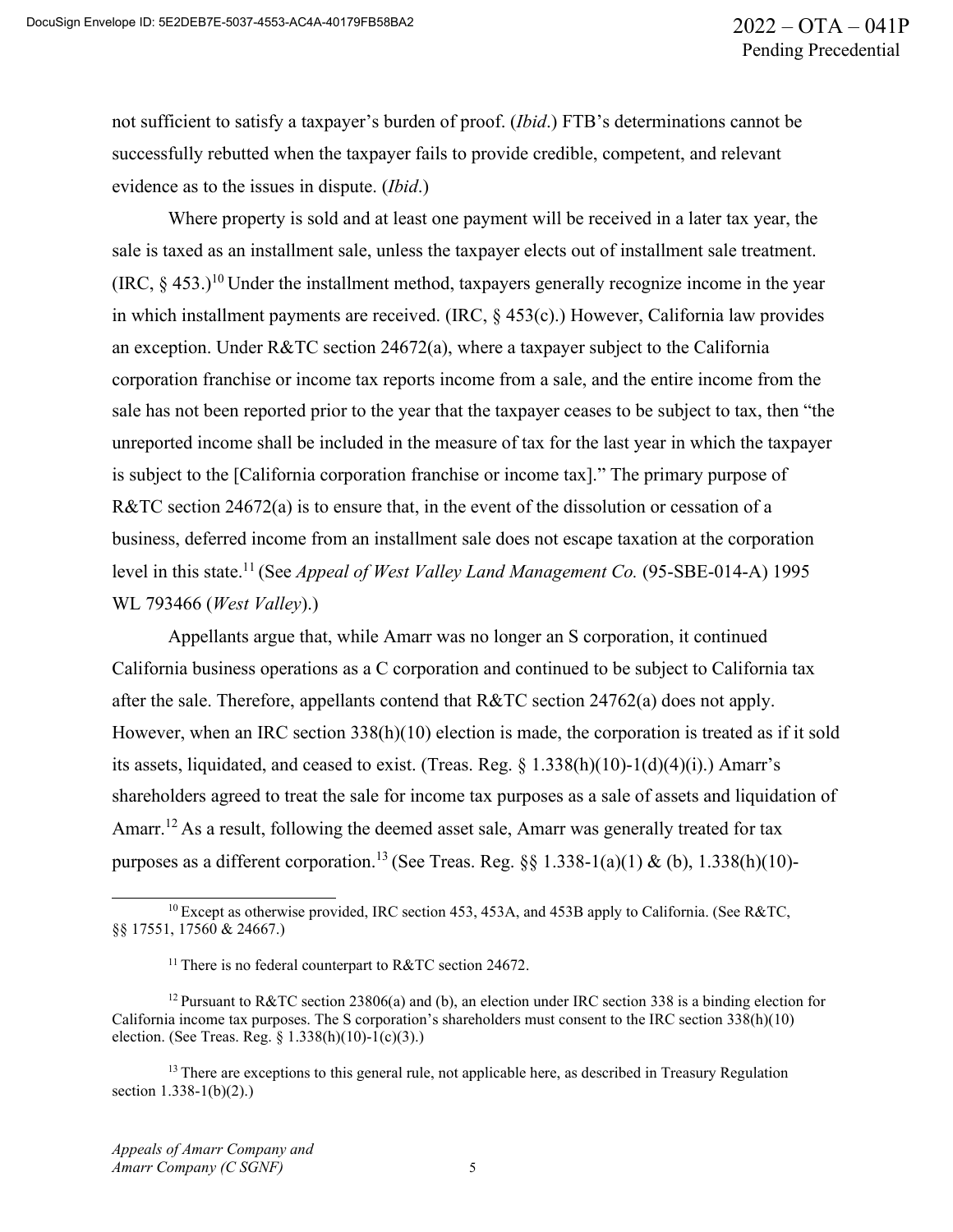not sufficient to satisfy a taxpayer's burden of proof. (*Ibid*.) FTB's determinations cannot be successfully rebutted when the taxpayer fails to provide credible, competent, and relevant evidence as to the issues in dispute. (*Ibid*.)

Where property is sold and at least one payment will be received in a later tax year, the sale is taxed as an installment sale, unless the taxpayer elects out of installment sale treatment.  $(IRC, 8, 453.)$ <sup>10</sup> Under the installment method, taxpayers generally recognize income in the year in which installment payments are received. (IRC, § 453(c).) However, California law provides an exception. Under R&TC section 24672(a), where a taxpayer subject to the California corporation franchise or income tax reports income from a sale, and the entire income from the sale has not been reported prior to the year that the taxpayer ceases to be subject to tax, then "the unreported income shall be included in the measure of tax for the last year in which the taxpayer is subject to the [California corporation franchise or income tax]." The primary purpose of R&TC section 24672(a) is to ensure that, in the event of the dissolution or cessation of a business, deferred income from an installment sale does not escape taxation at the corporation level in this state.<sup>11</sup> (See *Appeal of West Valley Land Management Co.* (95-SBE-014-A) 1995 WL 793466 (*West Valley*).)

Appellants argue that, while Amarr was no longer an S corporation, it continued California business operations as a C corporation and continued to be subject to California tax after the sale. Therefore, appellants contend that R&TC section 24762(a) does not apply. However, when an IRC section 338(h)(10) election is made, the corporation is treated as if it sold its assets, liquidated, and ceased to exist. (Treas. Reg. § 1.338(h)(10)-1(d)(4)(i).) Amarr's shareholders agreed to treat the sale for income tax purposes as a sale of assets and liquidation of Amarr.<sup>12</sup> As a result, following the deemed asset sale, Amarr was generally treated for tax purposes as a different corporation.<sup>13</sup> (See Treas. Reg. §§ 1.338-1(a)(1) & (b), 1.338(h)(10)-

 $^{10}$  Except as otherwise provided, IRC section 453, 453A, and 453B apply to California. (See R&TC, §§ 17551, 17560 & 24667.)

<sup>&</sup>lt;sup>11</sup> There is no federal counterpart to R&TC section 24672.

<sup>12</sup> Pursuant to R&TC section 23806(a) and (b), an election under IRC section 338 is a binding election for California income tax purposes. The S corporation's shareholders must consent to the IRC section 338(h)(10) election. (See Treas. Reg. § 1.338(h)(10)-1(c)(3).)

 $<sup>13</sup>$  There are exceptions to this general rule, not applicable here, as described in Treasury Regulation</sup> section 1.338-1(b)(2).)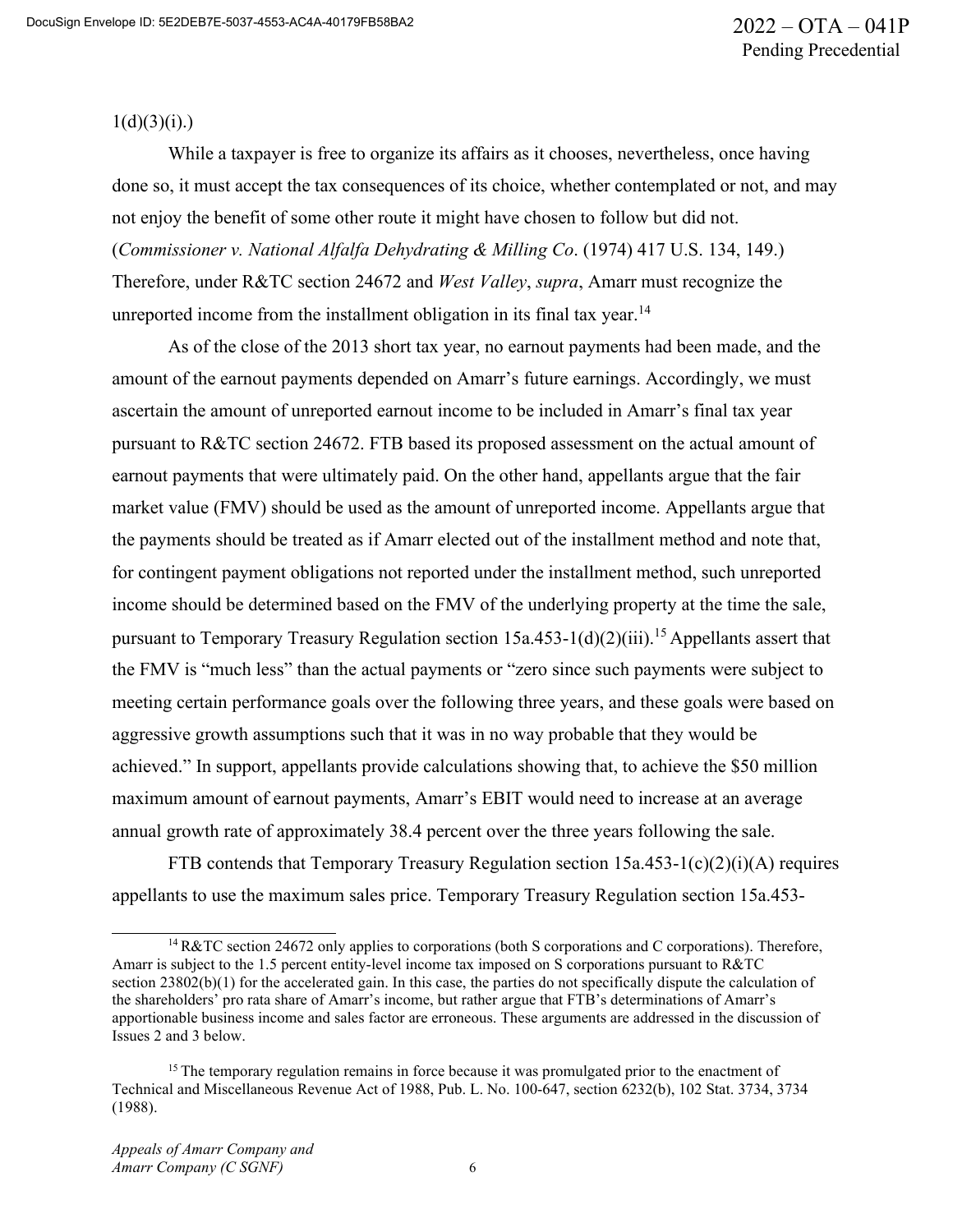$1(d)(3)(i)$ .)

While a taxpayer is free to organize its affairs as it chooses, nevertheless, once having done so, it must accept the tax consequences of its choice, whether contemplated or not, and may not enjoy the benefit of some other route it might have chosen to follow but did not. (*Commissioner v. National Alfalfa Dehydrating & Milling Co*. (1974) 417 U.S. 134, 149.) Therefore, under R&TC section 24672 and *West Valley*, *supra*, Amarr must recognize the unreported income from the installment obligation in its final tax year.<sup>14</sup>

As of the close of the 2013 short tax year, no earnout payments had been made, and the amount of the earnout payments depended on Amarr's future earnings. Accordingly, we must ascertain the amount of unreported earnout income to be included in Amarr's final tax year pursuant to R&TC section 24672. FTB based its proposed assessment on the actual amount of earnout payments that were ultimately paid. On the other hand, appellants argue that the fair market value (FMV) should be used as the amount of unreported income. Appellants argue that the payments should be treated as if Amarr elected out of the installment method and note that, for contingent payment obligations not reported under the installment method, such unreported income should be determined based on the FMV of the underlying property at the time the sale, pursuant to Temporary Treasury Regulation section  $15a.453-1(d)(2)(iii)$ .<sup>15</sup> Appellants assert that the FMV is "much less" than the actual payments or "zero since such payments were subject to meeting certain performance goals over the following three years, and these goals were based on aggressive growth assumptions such that it was in no way probable that they would be achieved." In support, appellants provide calculations showing that, to achieve the \$50 million maximum amount of earnout payments, Amarr's EBIT would need to increase at an average annual growth rate of approximately 38.4 percent over the three years following the sale.

FTB contends that Temporary Treasury Regulation section  $15a.453-1(c)(2)(i)(A)$  requires appellants to use the maximum sales price. Temporary Treasury Regulation section 15a.453-

<sup>14</sup> R&TC section 24672 only applies to corporations (both S corporations and C corporations). Therefore, Amarr is subject to the 1.5 percent entity-level income tax imposed on S corporations pursuant to R&TC section 23802(b)(1) for the accelerated gain. In this case, the parties do not specifically dispute the calculation of the shareholders' pro rata share of Amarr's income, but rather argue that FTB's determinations of Amarr's apportionable business income and sales factor are erroneous. These arguments are addressed in the discussion of Issues 2 and 3 below.

 $15$  The temporary regulation remains in force because it was promulgated prior to the enactment of Technical and Miscellaneous Revenue Act of 1988, Pub. L. No. 100-647, section 6232(b), 102 Stat. 3734, 3734 (1988).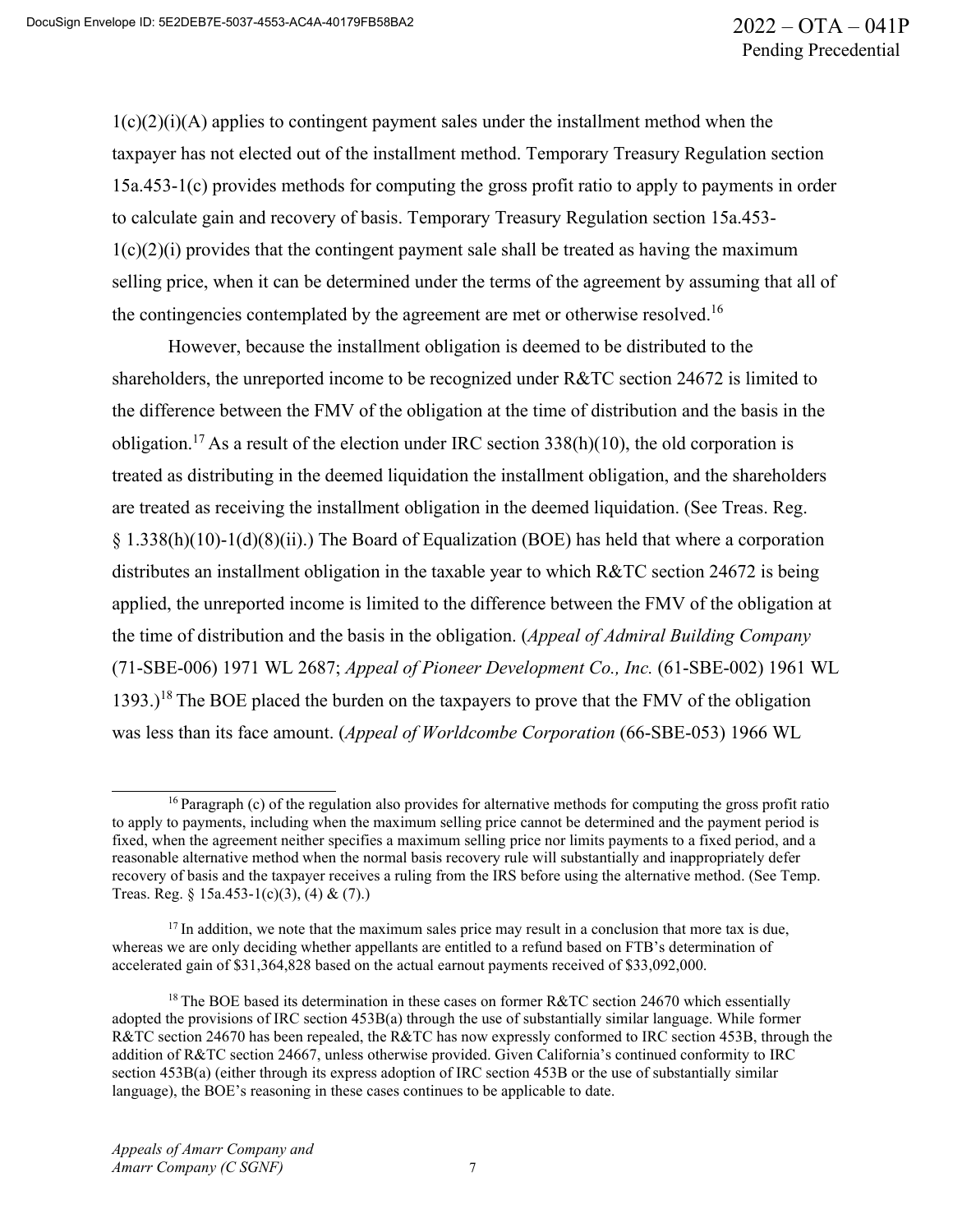$1(c)(2)(i)(A)$  applies to contingent payment sales under the installment method when the taxpayer has not elected out of the installment method. Temporary Treasury Regulation section 15a.453-1(c) provides methods for computing the gross profit ratio to apply to payments in order to calculate gain and recovery of basis. Temporary Treasury Regulation section 15a.453-  $1(c)(2)(i)$  provides that the contingent payment sale shall be treated as having the maximum selling price, when it can be determined under the terms of the agreement by assuming that all of the contingencies contemplated by the agreement are met or otherwise resolved.<sup>16</sup>

However, because the installment obligation is deemed to be distributed to the shareholders, the unreported income to be recognized under R&TC section 24672 is limited to the difference between the FMV of the obligation at the time of distribution and the basis in the obligation.<sup>17</sup> As a result of the election under IRC section  $338(h)(10)$ , the old corporation is treated as distributing in the deemed liquidation the installment obligation, and the shareholders are treated as receiving the installment obligation in the deemed liquidation. (See Treas. Reg. § 1.338(h)(10)-1(d)(8)(ii).) The Board of Equalization (BOE) has held that where a corporation distributes an installment obligation in the taxable year to which R&TC section 24672 is being applied, the unreported income is limited to the difference between the FMV of the obligation at the time of distribution and the basis in the obligation. (*Appeal of Admiral Building Company*  (71-SBE-006) 1971 WL 2687; *Appeal of Pioneer Development Co., Inc.* (61-SBE-002) 1961 WL 1393.)<sup>18</sup> The BOE placed the burden on the taxpayers to prove that the FMV of the obligation was less than its face amount. (*Appeal of Worldcombe Corporation* (66-SBE-053) 1966 WL

<sup>&</sup>lt;sup>16</sup> Paragraph (c) of the regulation also provides for alternative methods for computing the gross profit ratio to apply to payments, including when the maximum selling price cannot be determined and the payment period is fixed, when the agreement neither specifies a maximum selling price nor limits payments to a fixed period, and a reasonable alternative method when the normal basis recovery rule will substantially and inappropriately defer recovery of basis and the taxpayer receives a ruling from the IRS before using the alternative method. (See Temp. Treas. Reg. § 15a.453-1(c)(3), (4) & (7).)

 $17$  In addition, we note that the maximum sales price may result in a conclusion that more tax is due, whereas we are only deciding whether appellants are entitled to a refund based on FTB's determination of accelerated gain of \$31,364,828 based on the actual earnout payments received of \$33,092,000.

<sup>&</sup>lt;sup>18</sup> The BOE based its determination in these cases on former  $R&TC$  section 24670 which essentially adopted the provisions of IRC section 453B(a) through the use of substantially similar language. While former R&TC section 24670 has been repealed, the R&TC has now expressly conformed to IRC section 453B, through the addition of R&TC section 24667, unless otherwise provided. Given California's continued conformity to IRC section 453B(a) (either through its express adoption of IRC section 453B or the use of substantially similar language), the BOE's reasoning in these cases continues to be applicable to date.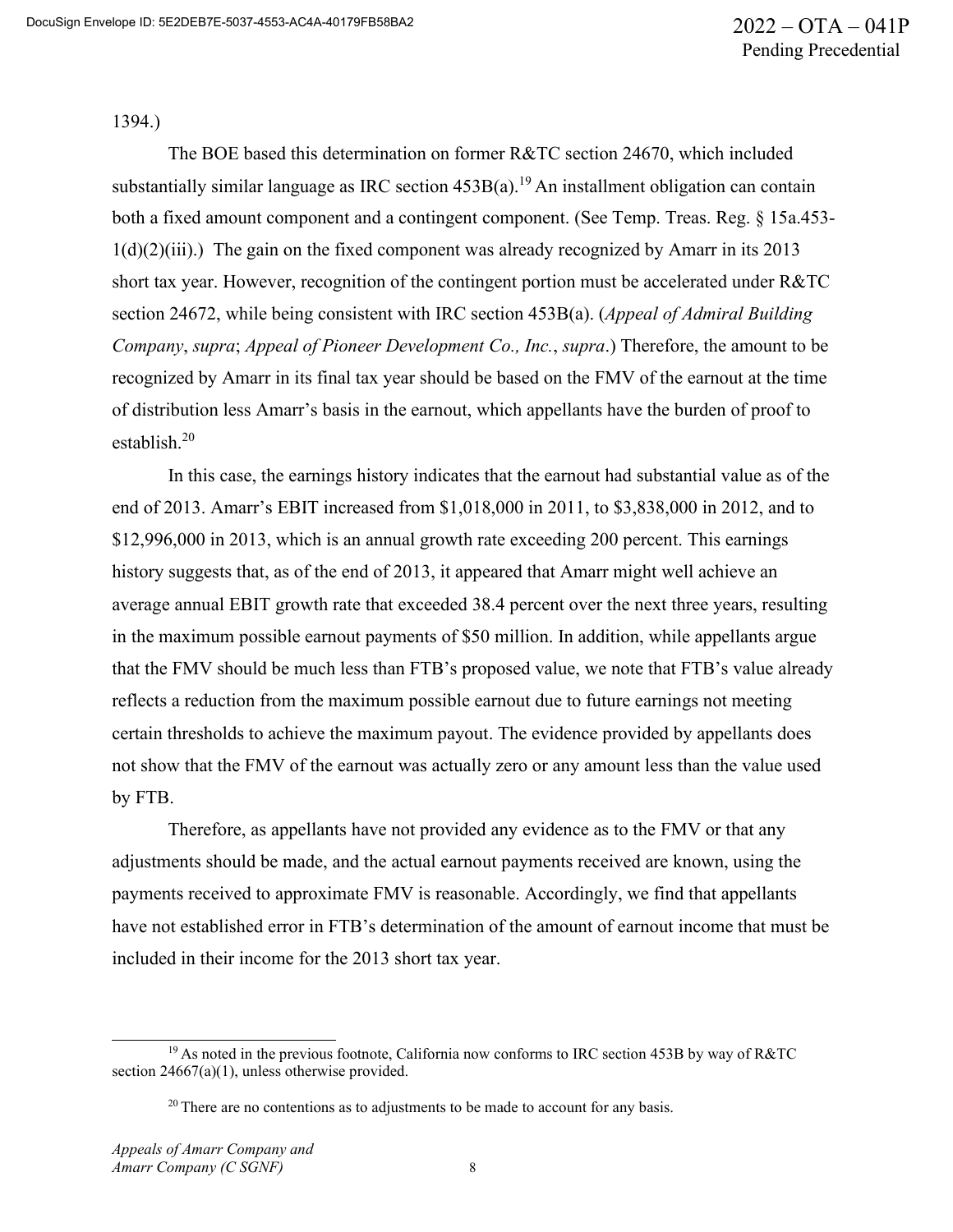1394.)

The BOE based this determination on former R&TC section 24670, which included substantially similar language as IRC section  $453B(a)$ <sup>19</sup> An installment obligation can contain both a fixed amount component and a contingent component. (See Temp. Treas. Reg. § 15a.453-  $1(d)(2)(iii)$ .) The gain on the fixed component was already recognized by Amarr in its 2013 short tax year. However, recognition of the contingent portion must be accelerated under R&TC section 24672, while being consistent with IRC section 453B(a). (*Appeal of Admiral Building Company*, *supra*; *Appeal of Pioneer Development Co., Inc.*, *supra*.) Therefore, the amount to be recognized by Amarr in its final tax year should be based on the FMV of the earnout at the time of distribution less Amarr's basis in the earnout, which appellants have the burden of proof to establish.<sup>20</sup>

In this case, the earnings history indicates that the earnout had substantial value as of the end of 2013. Amarr's EBIT increased from \$1,018,000 in 2011, to \$3,838,000 in 2012, and to \$12,996,000 in 2013, which is an annual growth rate exceeding 200 percent. This earnings history suggests that, as of the end of 2013, it appeared that Amarr might well achieve an average annual EBIT growth rate that exceeded 38.4 percent over the next three years, resulting in the maximum possible earnout payments of \$50 million. In addition, while appellants argue that the FMV should be much less than FTB's proposed value, we note that FTB's value already reflects a reduction from the maximum possible earnout due to future earnings not meeting certain thresholds to achieve the maximum payout. The evidence provided by appellants does not show that the FMV of the earnout was actually zero or any amount less than the value used by FTB.

Therefore, as appellants have not provided any evidence as to the FMV or that any adjustments should be made, and the actual earnout payments received are known, using the payments received to approximate FMV is reasonable. Accordingly, we find that appellants have not established error in FTB's determination of the amount of earnout income that must be included in their income for the 2013 short tax year.

 $19$  As noted in the previous footnote, California now conforms to IRC section 453B by way of R&TC section 24667(a)(1), unless otherwise provided.

 $20$  There are no contentions as to adjustments to be made to account for any basis.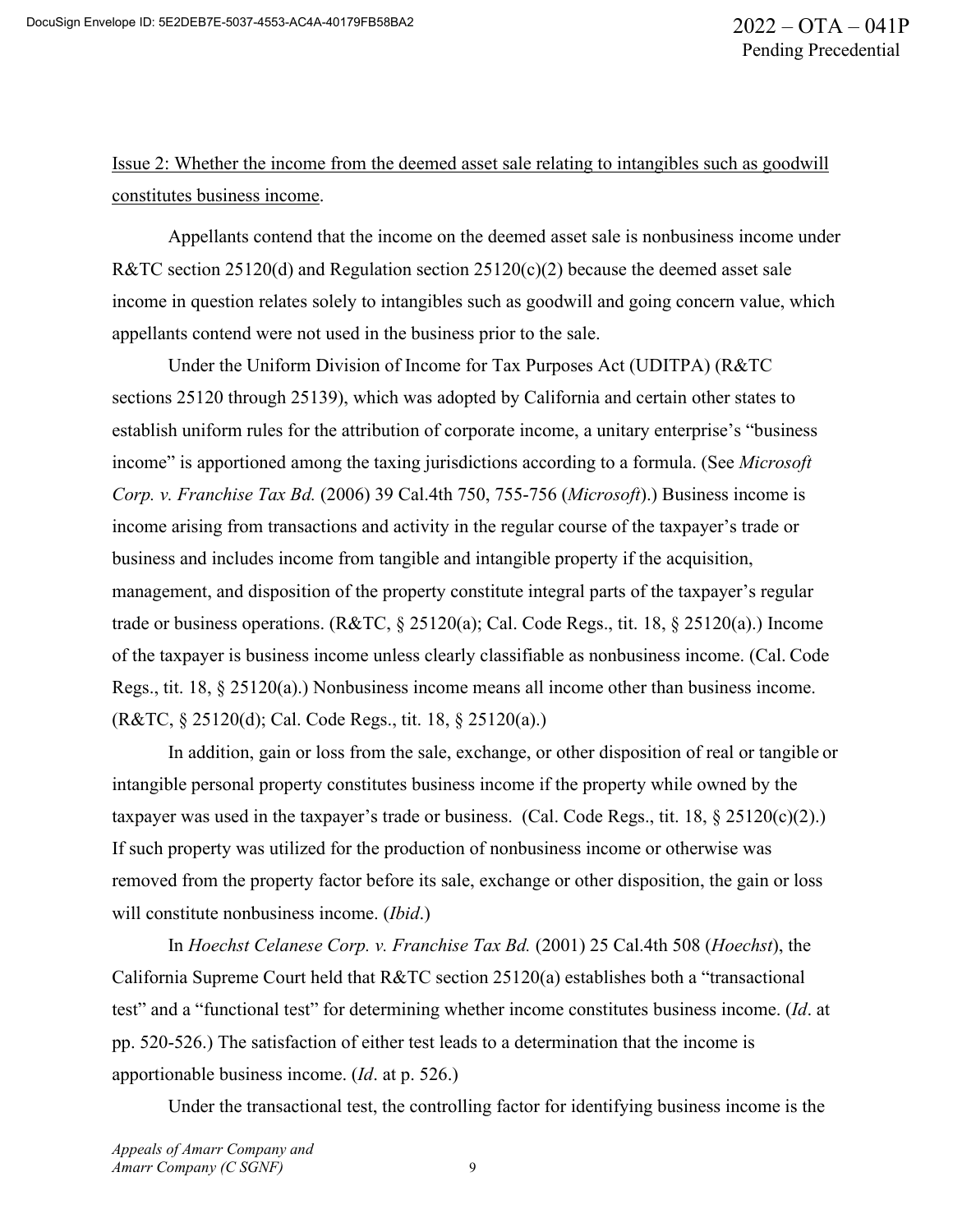Issue 2: Whether the income from the deemed asset sale relating to intangibles such as goodwill constitutes business income.

Appellants contend that the income on the deemed asset sale is nonbusiness income under R&TC section 25120(d) and Regulation section  $25120(c)(2)$  because the deemed asset sale income in question relates solely to intangibles such as goodwill and going concern value, which appellants contend were not used in the business prior to the sale.

Under the Uniform Division of Income for Tax Purposes Act (UDITPA) (R&TC sections 25120 through 25139), which was adopted by California and certain other states to establish uniform rules for the attribution of corporate income, a unitary enterprise's "business income" is apportioned among the taxing jurisdictions according to a formula. (See *Microsoft Corp. v. Franchise Tax Bd.* (2006) 39 Cal.4th 750, 755-756 (*Microsoft*).) Business income is income arising from transactions and activity in the regular course of the taxpayer's trade or business and includes income from tangible and intangible property if the acquisition, management, and disposition of the property constitute integral parts of the taxpayer's regular trade or business operations. (R&TC, § 25120(a); Cal. Code Regs., tit. 18, § 25120(a).) Income of the taxpayer is business income unless clearly classifiable as nonbusiness income. (Cal. Code Regs., tit. 18, § 25120(a).) Nonbusiness income means all income other than business income. (R&TC, § 25120(d); Cal. Code Regs., tit. 18, § 25120(a).)

In addition, gain or loss from the sale, exchange, or other disposition of real or tangible or intangible personal property constitutes business income if the property while owned by the taxpayer was used in the taxpayer's trade or business. (Cal. Code Regs., tit. 18,  $\S 25120(c)(2)$ .) If such property was utilized for the production of nonbusiness income or otherwise was removed from the property factor before its sale, exchange or other disposition, the gain or loss will constitute nonbusiness income. (*Ibid*.)

In *Hoechst Celanese Corp. v. Franchise Tax Bd.* (2001) 25 Cal.4th 508 (*Hoechst*), the California Supreme Court held that R&TC section 25120(a) establishes both a "transactional test" and a "functional test" for determining whether income constitutes business income. (*Id*. at pp. 520-526.) The satisfaction of either test leads to a determination that the income is apportionable business income. (*Id*. at p. 526.)

Under the transactional test, the controlling factor for identifying business income is the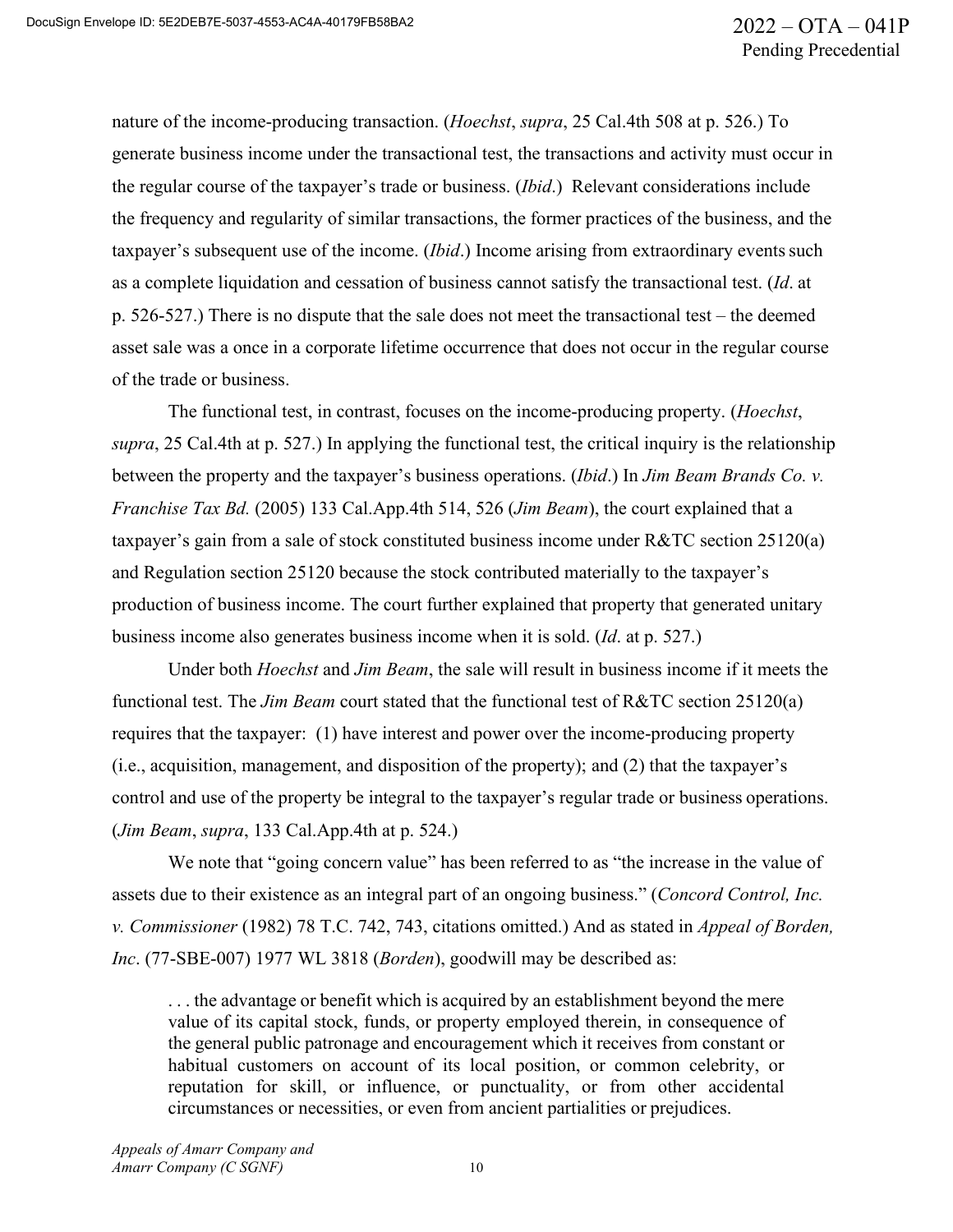nature of the income-producing transaction. (*Hoechst*, *supra*, 25 Cal.4th 508 at p. 526.) To generate business income under the transactional test, the transactions and activity must occur in the regular course of the taxpayer's trade or business. (*Ibid*.) Relevant considerations include the frequency and regularity of similar transactions, the former practices of the business, and the taxpayer's subsequent use of the income. *(Ibid.)* Income arising from extraordinary events such as a complete liquidation and cessation of business cannot satisfy the transactional test. (*Id*. at p. 526-527.) There is no dispute that the sale does not meet the transactional test – the deemed asset sale was a once in a corporate lifetime occurrence that does not occur in the regular course of the trade or business.

The functional test, in contrast, focuses on the income-producing property. (*Hoechst*, *supra*, 25 Cal.4th at p. 527.) In applying the functional test, the critical inquiry is the relationship between the property and the taxpayer's business operations. (*Ibid*.) In *Jim Beam Brands Co. v. Franchise Tax Bd.* (2005) 133 Cal.App.4th 514, 526 (*Jim Beam*), the court explained that a taxpayer's gain from a sale of stock constituted business income under R&TC section 25120(a) and Regulation section 25120 because the stock contributed materially to the taxpayer's production of business income. The court further explained that property that generated unitary business income also generates business income when it is sold. (*Id*. at p. 527.)

Under both *Hoechst* and *Jim Beam*, the sale will result in business income if it meets the functional test. The *Jim Beam* court stated that the functional test of R&TC section 25120(a) requires that the taxpayer: (1) have interest and power over the income-producing property (i.e., acquisition, management, and disposition of the property); and (2) that the taxpayer's control and use of the property be integral to the taxpayer's regular trade or business operations. (*Jim Beam*, *supra*, 133 Cal.App.4th at p. 524.)

We note that "going concern value" has been referred to as "the increase in the value of assets due to their existence as an integral part of an ongoing business." (*Concord Control, Inc. v. Commissioner* (1982) 78 T.C. 742, 743, citations omitted.) And as stated in *Appeal of Borden, Inc*. (77-SBE-007) 1977 WL 3818 (*Borden*), goodwill may be described as:

. . . the advantage or benefit which is acquired by an establishment beyond the mere value of its capital stock, funds, or property employed therein, in consequence of the general public patronage and encouragement which it receives from constant or habitual customers on account of its local position, or common celebrity, or reputation for skill, or influence, or punctuality, or from other accidental circumstances or necessities, or even from ancient partialities or prejudices.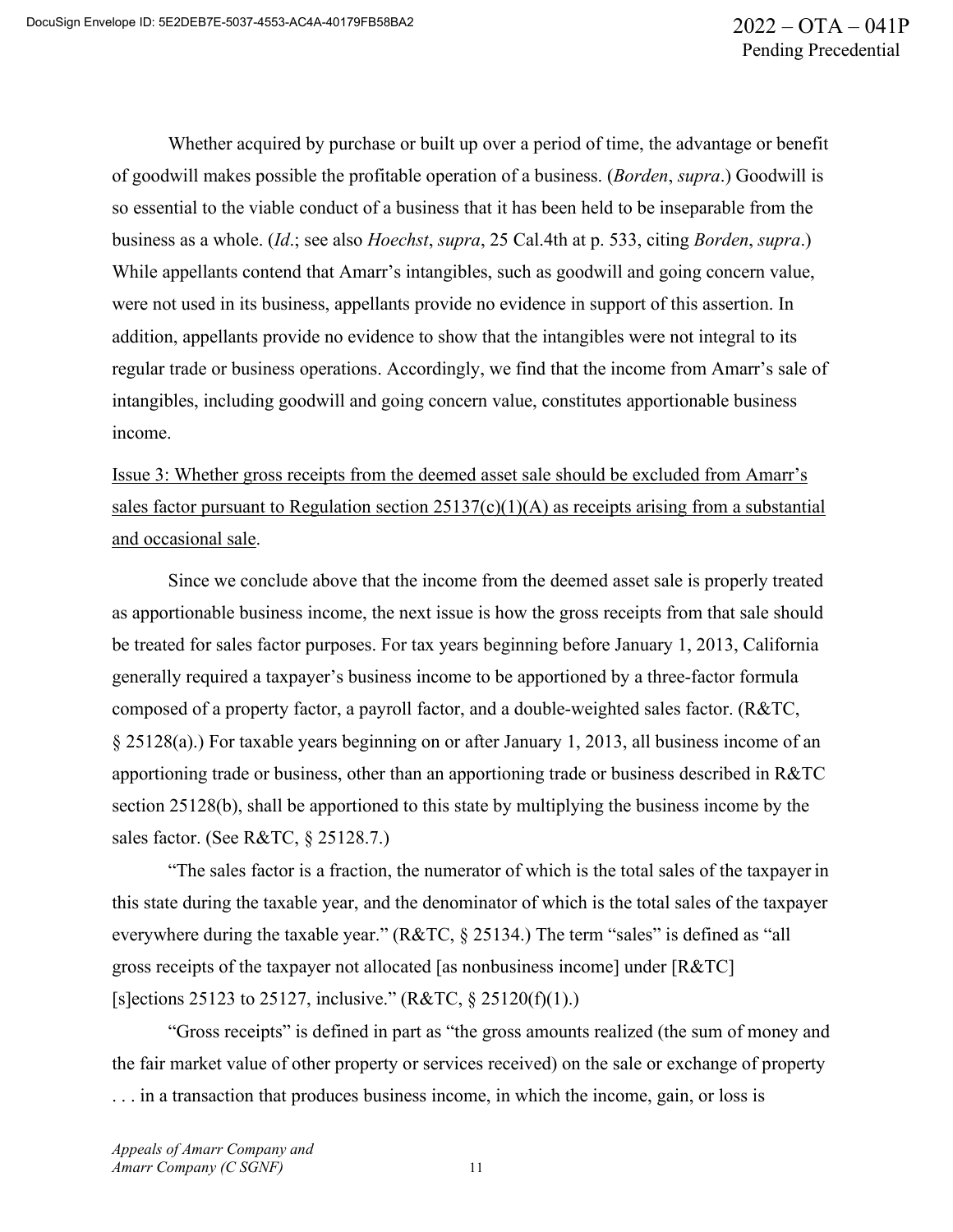Whether acquired by purchase or built up over a period of time, the advantage or benefit of goodwill makes possible the profitable operation of a business. (*Borden*, *supra*.) Goodwill is so essential to the viable conduct of a business that it has been held to be inseparable from the business as a whole. (*Id*.; see also *Hoechst*, *supra*, 25 Cal.4th at p. 533, citing *Borden*, *supra*.) While appellants contend that Amarr's intangibles, such as goodwill and going concern value, were not used in its business, appellants provide no evidence in support of this assertion. In addition, appellants provide no evidence to show that the intangibles were not integral to its regular trade or business operations. Accordingly, we find that the income from Amarr's sale of intangibles, including goodwill and going concern value, constitutes apportionable business income.

Issue 3: Whether gross receipts from the deemed asset sale should be excluded from Amarr's sales factor pursuant to Regulation section  $25137(c)(1)(A)$  as receipts arising from a substantial and occasional sale.

Since we conclude above that the income from the deemed asset sale is properly treated as apportionable business income, the next issue is how the gross receipts from that sale should be treated for sales factor purposes. For tax years beginning before January 1, 2013, California generally required a taxpayer's business income to be apportioned by a three-factor formula composed of a property factor, a payroll factor, and a double-weighted sales factor. (R&TC, § 25128(a).) For taxable years beginning on or after January 1, 2013, all business income of an apportioning trade or business, other than an apportioning trade or business described in R&TC section 25128(b), shall be apportioned to this state by multiplying the business income by the sales factor. (See R&TC, § 25128.7.)

"The sales factor is a fraction, the numerator of which is the total sales of the taxpayer in this state during the taxable year, and the denominator of which is the total sales of the taxpayer everywhere during the taxable year." (R&TC, § 25134.) The term "sales" is defined as "all gross receipts of the taxpayer not allocated [as nonbusiness income] under [R&TC] [s]ections 25123 to 25127, inclusive."  $(R&TC, \S 25120(f)(1))$ .)

"Gross receipts" is defined in part as "the gross amounts realized (the sum of money and the fair market value of other property or services received) on the sale or exchange of property . . . in a transaction that produces business income, in which the income, gain, or loss is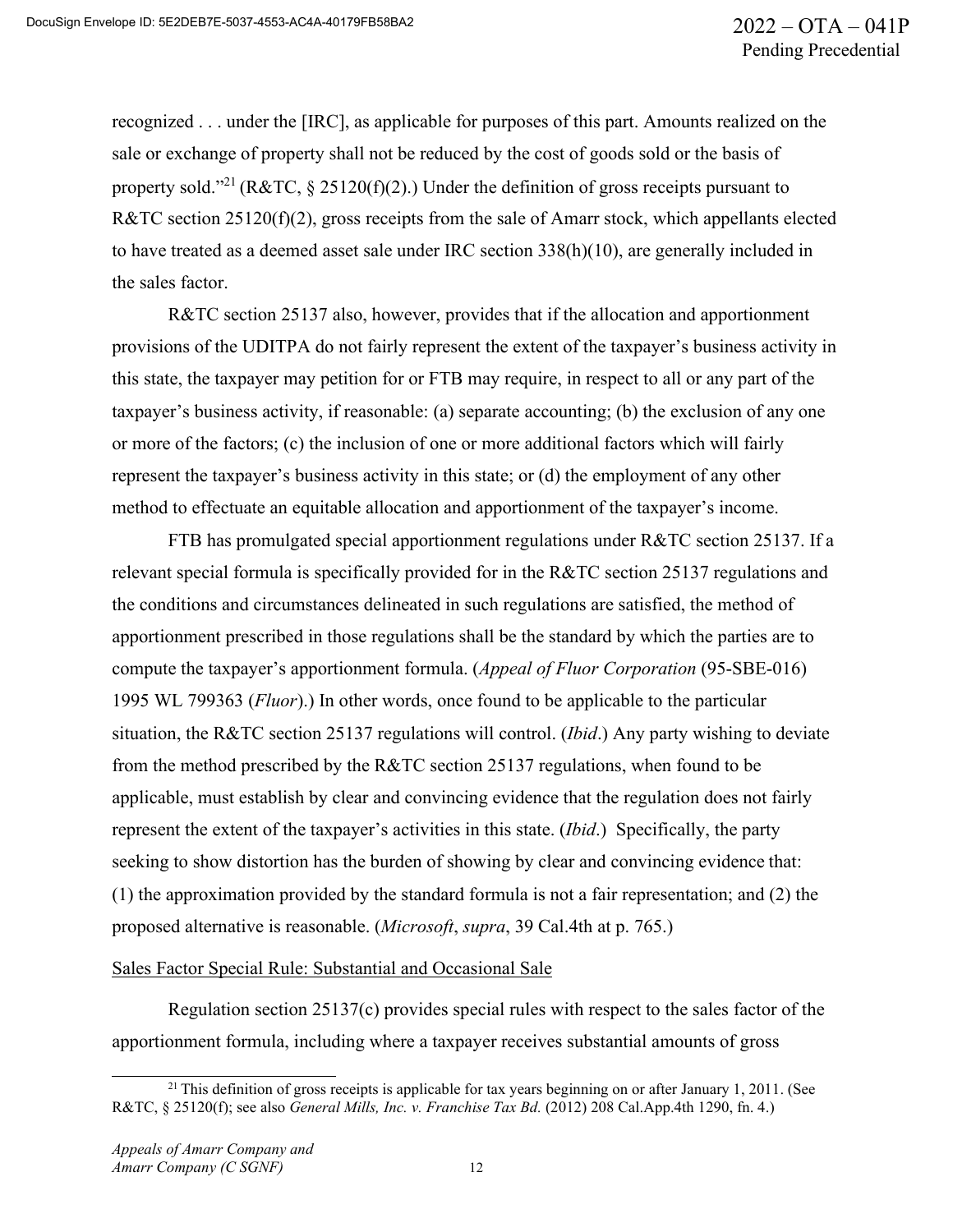recognized . . . under the [IRC], as applicable for purposes of this part. Amounts realized on the sale or exchange of property shall not be reduced by the cost of goods sold or the basis of property sold."<sup>21</sup> (R&TC, § 25120(f)(2).) Under the definition of gross receipts pursuant to R&TC section 25120(f)(2), gross receipts from the sale of Amarr stock, which appellants elected to have treated as a deemed asset sale under IRC section 338(h)(10), are generally included in the sales factor.

R&TC section 25137 also, however, provides that if the allocation and apportionment provisions of the UDITPA do not fairly represent the extent of the taxpayer's business activity in this state, the taxpayer may petition for or FTB may require, in respect to all or any part of the taxpayer's business activity, if reasonable: (a) separate accounting; (b) the exclusion of any one or more of the factors; (c) the inclusion of one or more additional factors which will fairly represent the taxpayer's business activity in this state; or (d) the employment of any other method to effectuate an equitable allocation and apportionment of the taxpayer's income.

FTB has promulgated special apportionment regulations under R&TC section 25137. If a relevant special formula is specifically provided for in the R&TC section 25137 regulations and the conditions and circumstances delineated in such regulations are satisfied, the method of apportionment prescribed in those regulations shall be the standard by which the parties are to compute the taxpayer's apportionment formula. (*Appeal of Fluor Corporation* (95-SBE-016) 1995 WL 799363 (*Fluor*).) In other words, once found to be applicable to the particular situation, the R&TC section 25137 regulations will control. (*Ibid*.) Any party wishing to deviate from the method prescribed by the R&TC section 25137 regulations, when found to be applicable, must establish by clear and convincing evidence that the regulation does not fairly represent the extent of the taxpayer's activities in this state. (*Ibid*.) Specifically, the party seeking to show distortion has the burden of showing by clear and convincing evidence that: (1) the approximation provided by the standard formula is not a fair representation; and (2) the proposed alternative is reasonable. (*Microsoft*, *supra*, 39 Cal.4th at p. 765.)

#### Sales Factor Special Rule: Substantial and Occasional Sale

Regulation section 25137(c) provides special rules with respect to the sales factor of the apportionment formula, including where a taxpayer receives substantial amounts of gross

<sup>&</sup>lt;sup>21</sup> This definition of gross receipts is applicable for tax years beginning on or after January 1, 2011. (See R&TC, § 25120(f); see also *General Mills, Inc. v. Franchise Tax Bd.* (2012) 208 Cal.App.4th 1290, fn. 4.)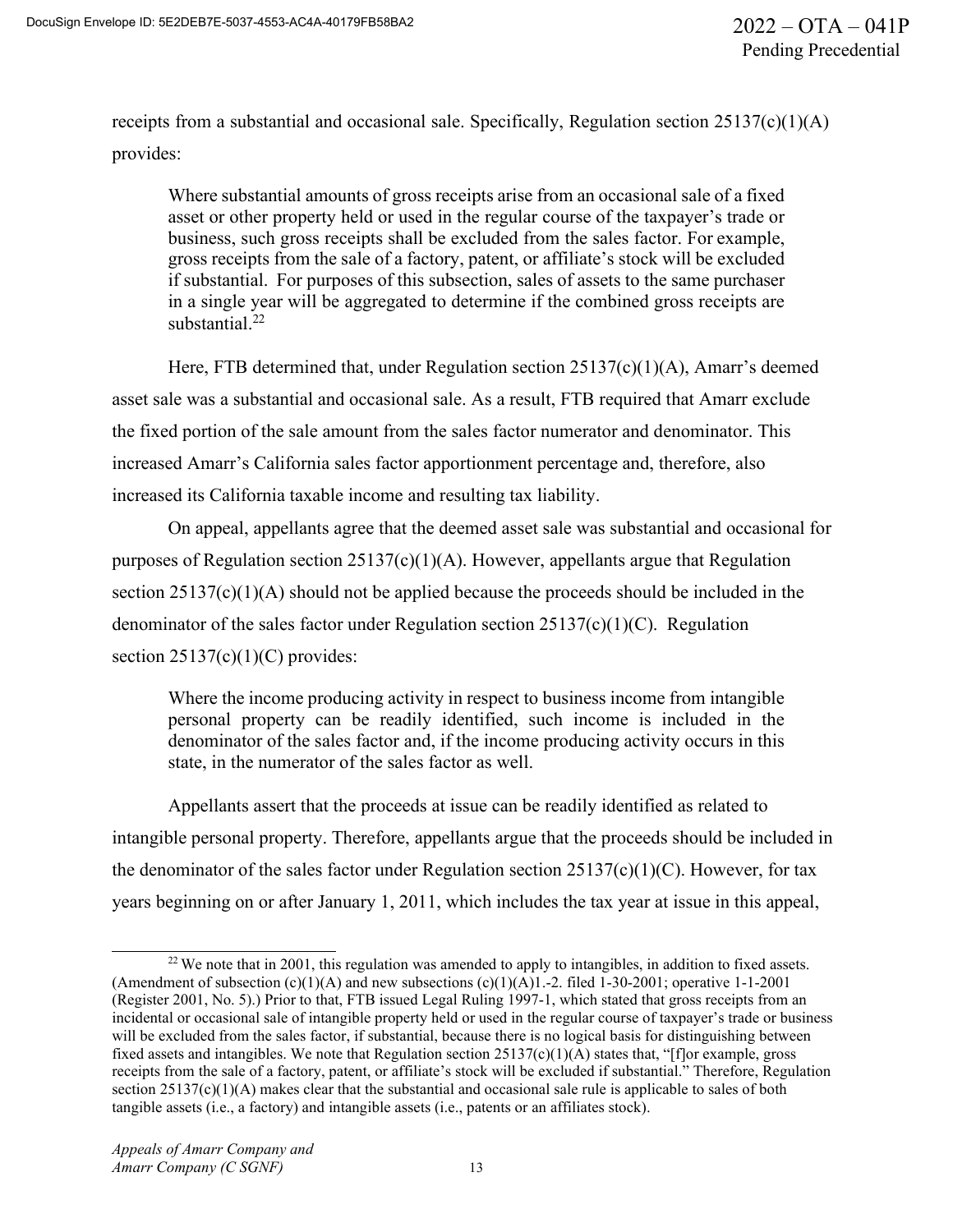receipts from a substantial and occasional sale. Specifically, Regulation section  $25137(c)(1)(A)$ provides:

Where substantial amounts of gross receipts arise from an occasional sale of a fixed asset or other property held or used in the regular course of the taxpayer's trade or business, such gross receipts shall be excluded from the sales factor. For example, gross receipts from the sale of a factory, patent, or affiliate's stock will be excluded if substantial. For purposes of this subsection, sales of assets to the same purchaser in a single year will be aggregated to determine if the combined gross receipts are substantial. $^{22}$ 

Here, FTB determined that, under Regulation section 25137(c)(1)(A), Amarr's deemed asset sale was a substantial and occasional sale. As a result, FTB required that Amarr exclude the fixed portion of the sale amount from the sales factor numerator and denominator. This increased Amarr's California sales factor apportionment percentage and, therefore, also increased its California taxable income and resulting tax liability.

On appeal, appellants agree that the deemed asset sale was substantial and occasional for purposes of Regulation section  $25137(c)(1)(A)$ . However, appellants argue that Regulation section 25137(c)(1)(A) should not be applied because the proceeds should be included in the denominator of the sales factor under Regulation section 25137(c)(1)(C). Regulation section  $25137(c)(1)(C)$  provides:

Where the income producing activity in respect to business income from intangible personal property can be readily identified, such income is included in the denominator of the sales factor and, if the income producing activity occurs in this state, in the numerator of the sales factor as well.

Appellants assert that the proceeds at issue can be readily identified as related to intangible personal property. Therefore, appellants argue that the proceeds should be included in the denominator of the sales factor under Regulation section  $25137(c)(1)(C)$ . However, for tax years beginning on or after January 1, 2011, which includes the tax year at issue in this appeal,

 $22$  We note that in 2001, this regulation was amended to apply to intangibles, in addition to fixed assets. (Amendment of subsection  $(c)(1)(A)$  and new subsections  $(c)(1)(A)1.-2$ . filed 1-30-2001; operative 1-1-2001 (Register 2001, No. 5).) Prior to that, FTB issued Legal Ruling 1997-1, which stated that gross receipts from an incidental or occasional sale of intangible property held or used in the regular course of taxpayer's trade or business will be excluded from the sales factor, if substantial, because there is no logical basis for distinguishing between fixed assets and intangibles. We note that Regulation section  $25137(c)(1)(A)$  states that, "[f]or example, gross receipts from the sale of a factory, patent, or affiliate's stock will be excluded if substantial." Therefore, Regulation section 25137(c)(1)(A) makes clear that the substantial and occasional sale rule is applicable to sales of both tangible assets (i.e., a factory) and intangible assets (i.e., patents or an affiliates stock).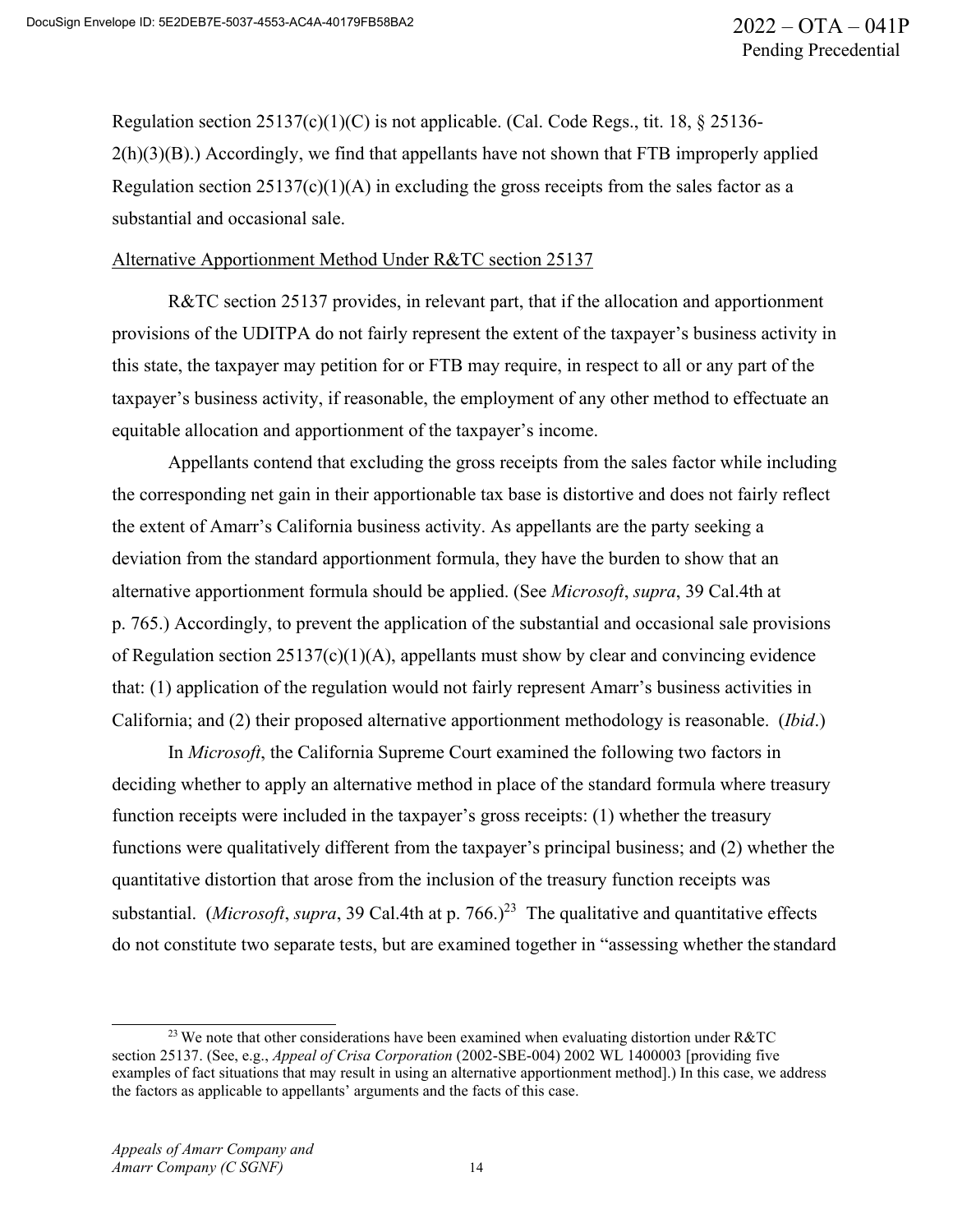Regulation section  $25137(c)(1)(C)$  is not applicable. (Cal. Code Regs., tit. 18, § 25136- $2(h)(3)(B)$ .) Accordingly, we find that appellants have not shown that FTB improperly applied Regulation section  $25137(c)(1)(A)$  in excluding the gross receipts from the sales factor as a substantial and occasional sale.

#### Alternative Apportionment Method Under R&TC section 25137

R&TC section 25137 provides, in relevant part, that if the allocation and apportionment provisions of the UDITPA do not fairly represent the extent of the taxpayer's business activity in this state, the taxpayer may petition for or FTB may require, in respect to all or any part of the taxpayer's business activity, if reasonable, the employment of any other method to effectuate an equitable allocation and apportionment of the taxpayer's income.

Appellants contend that excluding the gross receipts from the sales factor while including the corresponding net gain in their apportionable tax base is distortive and does not fairly reflect the extent of Amarr's California business activity. As appellants are the party seeking a deviation from the standard apportionment formula, they have the burden to show that an alternative apportionment formula should be applied. (See *Microsoft*, *supra*, 39 Cal.4th at p. 765.) Accordingly, to prevent the application of the substantial and occasional sale provisions of Regulation section 25137(c)(1)(A), appellants must show by clear and convincing evidence that: (1) application of the regulation would not fairly represent Amarr's business activities in California; and (2) their proposed alternative apportionment methodology is reasonable. (*Ibid*.)

In *Microsoft*, the California Supreme Court examined the following two factors in deciding whether to apply an alternative method in place of the standard formula where treasury function receipts were included in the taxpayer's gross receipts: (1) whether the treasury functions were qualitatively different from the taxpayer's principal business; and (2) whether the quantitative distortion that arose from the inclusion of the treasury function receipts was substantial. (*Microsoft*, *supra*, 39 Cal.4th at p. 766.)<sup>23</sup> The qualitative and quantitative effects do not constitute two separate tests, but are examined together in "assessing whether the standard

<sup>&</sup>lt;sup>23</sup> We note that other considerations have been examined when evaluating distortion under R&TC section 25137. (See, e.g., *Appeal of Crisa Corporation* (2002-SBE-004) 2002 WL 1400003 [providing five examples of fact situations that may result in using an alternative apportionment method].) In this case, we address the factors as applicable to appellants' arguments and the facts of this case.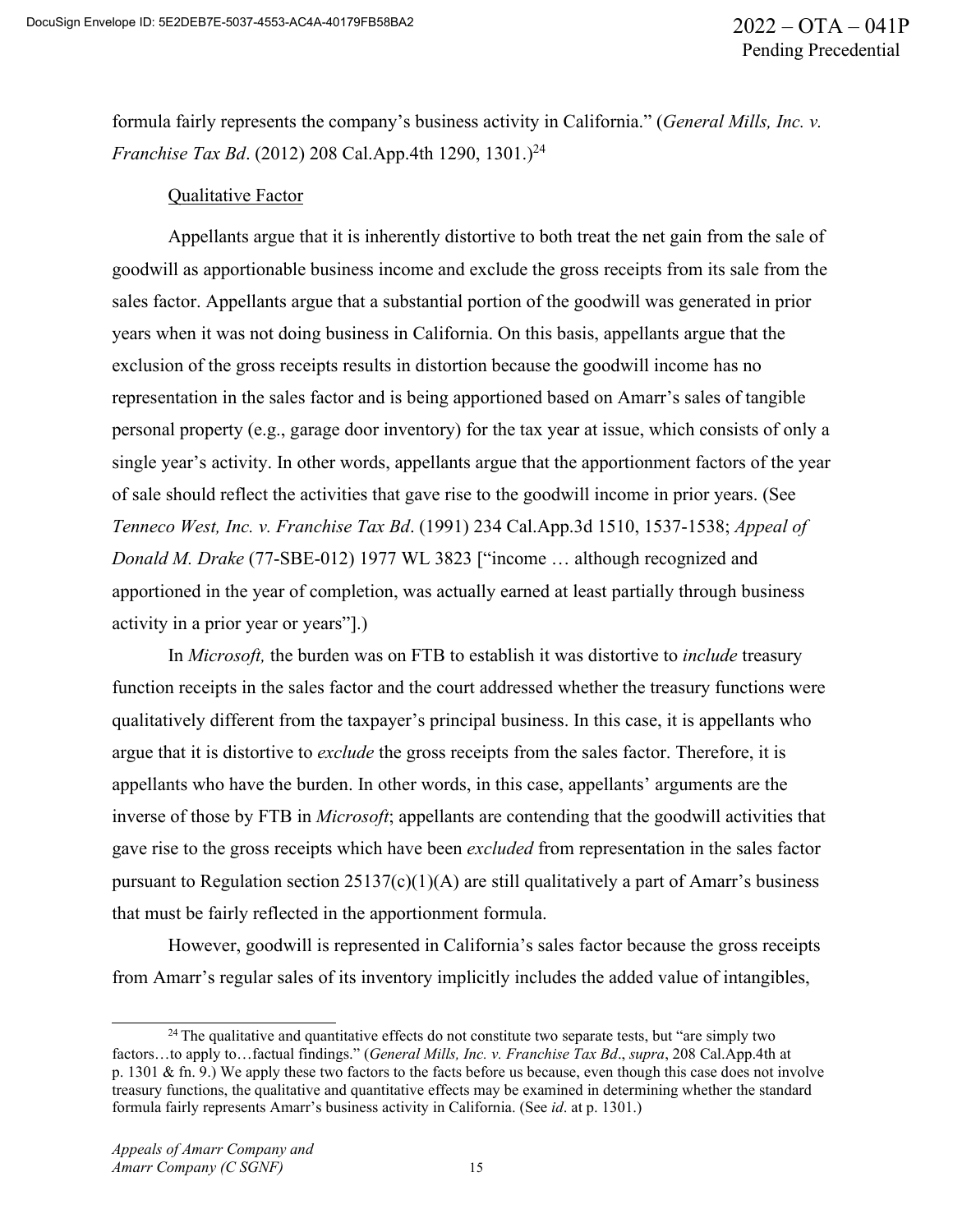formula fairly represents the company's business activity in California." (*General Mills, Inc. v. Franchise Tax Bd.* (2012) 208 Cal.App.4th 1290, 1301.)<sup>24</sup>

### Qualitative Factor

Appellants argue that it is inherently distortive to both treat the net gain from the sale of goodwill as apportionable business income and exclude the gross receipts from its sale from the sales factor. Appellants argue that a substantial portion of the goodwill was generated in prior years when it was not doing business in California. On this basis, appellants argue that the exclusion of the gross receipts results in distortion because the goodwill income has no representation in the sales factor and is being apportioned based on Amarr's sales of tangible personal property (e.g., garage door inventory) for the tax year at issue, which consists of only a single year's activity. In other words, appellants argue that the apportionment factors of the year of sale should reflect the activities that gave rise to the goodwill income in prior years. (See *Tenneco West, Inc. v. Franchise Tax Bd*. (1991) 234 Cal.App.3d 1510, 1537-1538; *Appeal of Donald M. Drake* (77-SBE-012) 1977 WL 3823 ["income … although recognized and apportioned in the year of completion, was actually earned at least partially through business activity in a prior year or years"].)

In *Microsoft,* the burden was on FTB to establish it was distortive to *include* treasury function receipts in the sales factor and the court addressed whether the treasury functions were qualitatively different from the taxpayer's principal business. In this case, it is appellants who argue that it is distortive to *exclude* the gross receipts from the sales factor. Therefore, it is appellants who have the burden. In other words, in this case, appellants' arguments are the inverse of those by FTB in *Microsoft*; appellants are contending that the goodwill activities that gave rise to the gross receipts which have been *excluded* from representation in the sales factor pursuant to Regulation section 25137(c)(1)(A) are still qualitatively a part of Amarr's business that must be fairly reflected in the apportionment formula.

However, goodwill is represented in California's sales factor because the gross receipts from Amarr's regular sales of its inventory implicitly includes the added value of intangibles,

<sup>&</sup>lt;sup>24</sup> The qualitative and quantitative effects do not constitute two separate tests, but "are simply two factors…to apply to…factual findings." (*General Mills, Inc. v. Franchise Tax Bd*., *supra*, 208 Cal.App.4th at p. 1301 & fn. 9.) We apply these two factors to the facts before us because, even though this case does not involve treasury functions, the qualitative and quantitative effects may be examined in determining whether the standard formula fairly represents Amarr's business activity in California. (See *id*. at p. 1301.)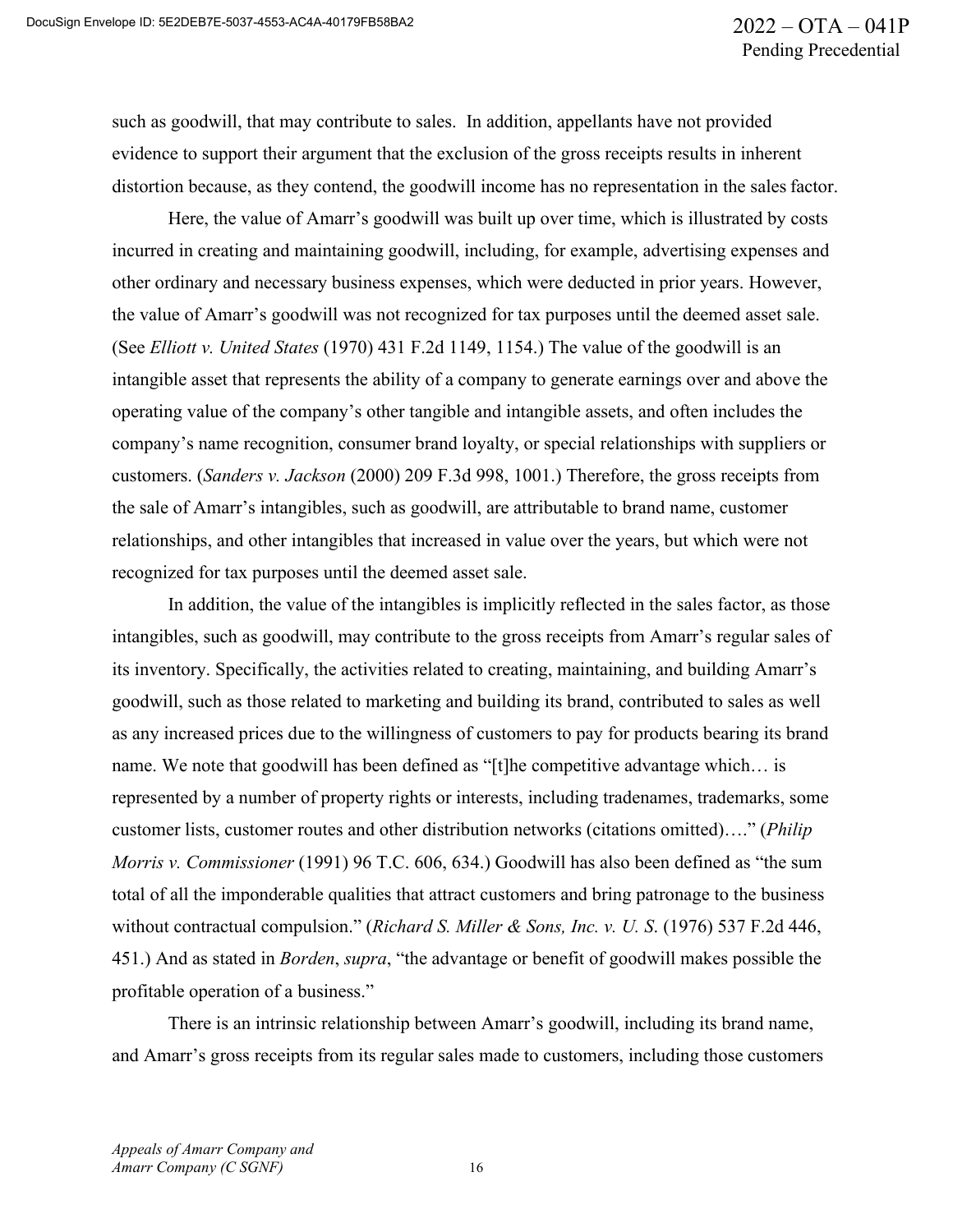such as goodwill, that may contribute to sales. In addition, appellants have not provided evidence to support their argument that the exclusion of the gross receipts results in inherent distortion because, as they contend, the goodwill income has no representation in the sales factor.

Here, the value of Amarr's goodwill was built up over time, which is illustrated by costs incurred in creating and maintaining goodwill, including, for example, advertising expenses and other ordinary and necessary business expenses, which were deducted in prior years. However, the value of Amarr's goodwill was not recognized for tax purposes until the deemed asset sale. (See *Elliott v. United States* (1970) 431 F.2d 1149, 1154.) The value of the goodwill is an intangible asset that represents the ability of a company to generate earnings over and above the operating value of the company's other tangible and intangible assets, and often includes the company's name recognition, consumer brand loyalty, or special relationships with suppliers or customers. (*Sanders v. Jackson* (2000) 209 F.3d 998, 1001.) Therefore, the gross receipts from the sale of Amarr's intangibles, such as goodwill, are attributable to brand name, customer relationships, and other intangibles that increased in value over the years, but which were not recognized for tax purposes until the deemed asset sale.

In addition, the value of the intangibles is implicitly reflected in the sales factor, as those intangibles, such as goodwill, may contribute to the gross receipts from Amarr's regular sales of its inventory. Specifically, the activities related to creating, maintaining, and building Amarr's goodwill, such as those related to marketing and building its brand, contributed to sales as well as any increased prices due to the willingness of customers to pay for products bearing its brand name. We note that goodwill has been defined as "[t]he competitive advantage which… is represented by a number of property rights or interests, including tradenames, trademarks, some customer lists, customer routes and other distribution networks (citations omitted)…." (*Philip Morris v. Commissioner* (1991) 96 T.C. 606, 634.) Goodwill has also been defined as "the sum total of all the imponderable qualities that attract customers and bring patronage to the business without contractual compulsion." (*Richard S. Miller & Sons, Inc. v. U. S*. (1976) 537 F.2d 446, 451.) And as stated in *Borden*, *supra*, "the advantage or benefit of goodwill makes possible the profitable operation of a business."

There is an intrinsic relationship between Amarr's goodwill, including its brand name, and Amarr's gross receipts from its regular sales made to customers, including those customers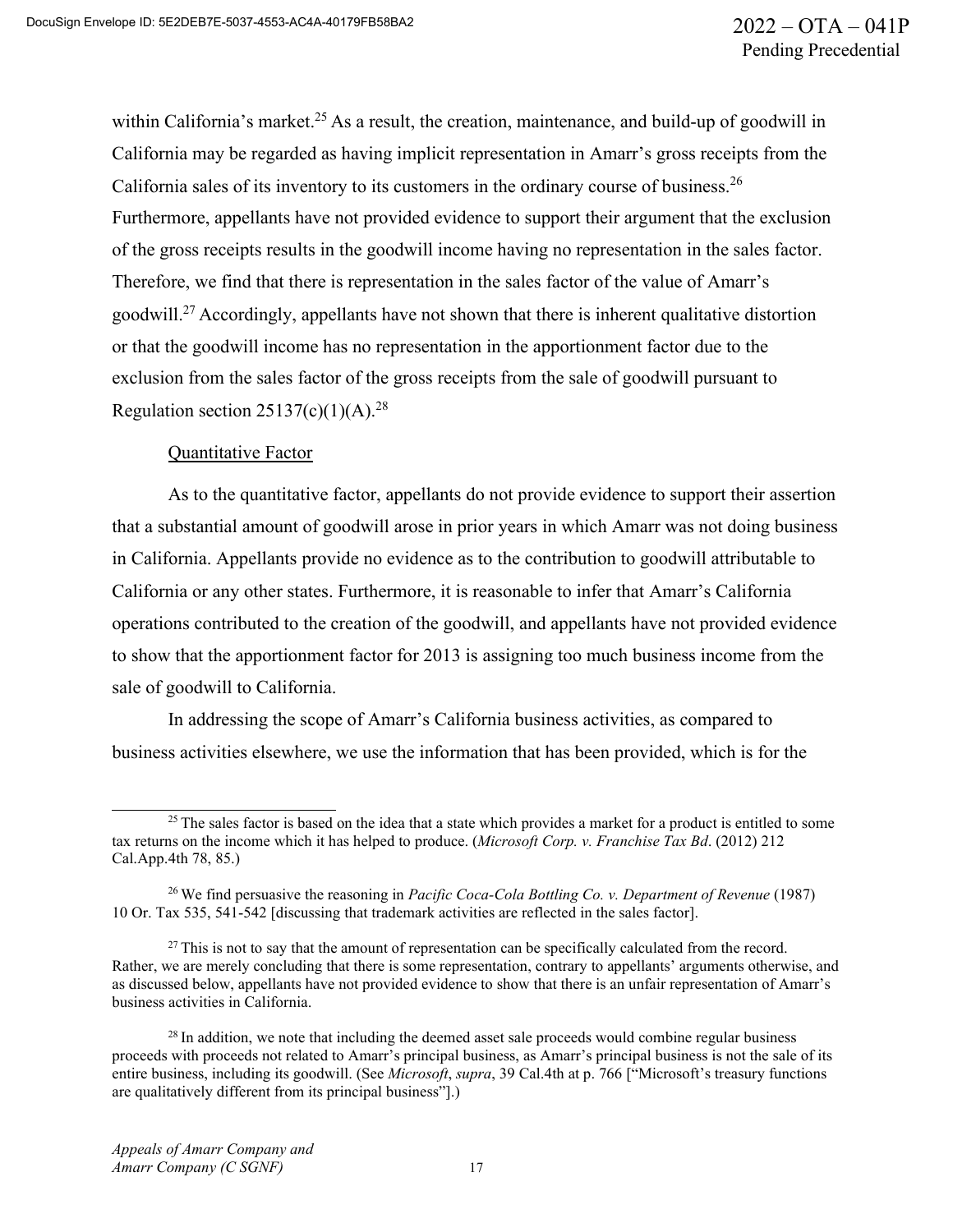within California's market.<sup>25</sup> As a result, the creation, maintenance, and build-up of goodwill in California may be regarded as having implicit representation in Amarr's gross receipts from the California sales of its inventory to its customers in the ordinary course of business.<sup>26</sup> Furthermore, appellants have not provided evidence to support their argument that the exclusion of the gross receipts results in the goodwill income having no representation in the sales factor. Therefore, we find that there is representation in the sales factor of the value of Amarr's goodwill.<sup>27</sup> Accordingly, appellants have not shown that there is inherent qualitative distortion or that the goodwill income has no representation in the apportionment factor due to the exclusion from the sales factor of the gross receipts from the sale of goodwill pursuant to Regulation section  $25137(c)(1)(A).^{28}$ 

#### Quantitative Factor

As to the quantitative factor, appellants do not provide evidence to support their assertion that a substantial amount of goodwill arose in prior years in which Amarr was not doing business in California. Appellants provide no evidence as to the contribution to goodwill attributable to California or any other states. Furthermore, it is reasonable to infer that Amarr's California operations contributed to the creation of the goodwill, and appellants have not provided evidence to show that the apportionment factor for 2013 is assigning too much business income from the sale of goodwill to California.

In addressing the scope of Amarr's California business activities, as compared to business activities elsewhere, we use the information that has been provided, which is for the

<sup>&</sup>lt;sup>25</sup> The sales factor is based on the idea that a state which provides a market for a product is entitled to some tax returns on the income which it has helped to produce. (*Microsoft Corp. v. Franchise Tax Bd*. (2012) 212 Cal.App.4th 78, 85.)

<sup>26</sup> We find persuasive the reasoning in *Pacific Coca-Cola Bottling Co. v. Department of Revenue* (1987) 10 Or. Tax 535, 541-542 [discussing that trademark activities are reflected in the sales factor].

 $27$  This is not to say that the amount of representation can be specifically calculated from the record. Rather, we are merely concluding that there is some representation, contrary to appellants' arguments otherwise, and as discussed below, appellants have not provided evidence to show that there is an unfair representation of Amarr's business activities in California.

 $28$  In addition, we note that including the deemed asset sale proceeds would combine regular business proceeds with proceeds not related to Amarr's principal business, as Amarr's principal business is not the sale of its entire business, including its goodwill. (See *Microsoft*, *supra*, 39 Cal.4th at p. 766 ["Microsoft's treasury functions are qualitatively different from its principal business"].)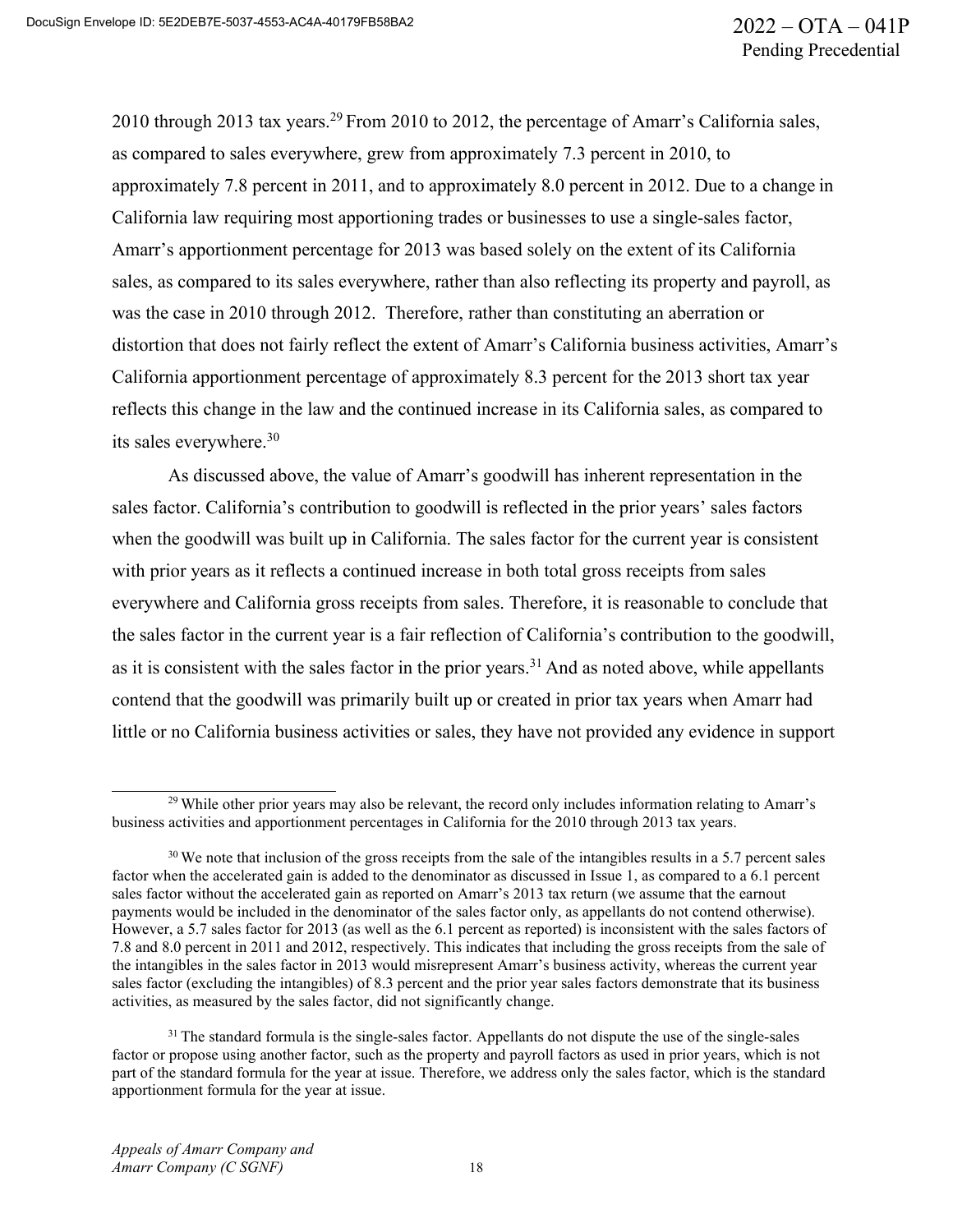2010 through 2013 tax years.<sup>29</sup> From 2010 to 2012, the percentage of Amarr's California sales, as compared to sales everywhere, grew from approximately 7.3 percent in 2010, to approximately 7.8 percent in 2011, and to approximately 8.0 percent in 2012. Due to a change in California law requiring most apportioning trades or businesses to use a single-sales factor, Amarr's apportionment percentage for 2013 was based solely on the extent of its California sales, as compared to its sales everywhere, rather than also reflecting its property and payroll, as was the case in 2010 through 2012. Therefore, rather than constituting an aberration or distortion that does not fairly reflect the extent of Amarr's California business activities, Amarr's California apportionment percentage of approximately 8.3 percent for the 2013 short tax year reflects this change in the law and the continued increase in its California sales, as compared to its sales everywhere.<sup>30</sup>

As discussed above, the value of Amarr's goodwill has inherent representation in the sales factor. California's contribution to goodwill is reflected in the prior years' sales factors when the goodwill was built up in California. The sales factor for the current year is consistent with prior years as it reflects a continued increase in both total gross receipts from sales everywhere and California gross receipts from sales. Therefore, it is reasonable to conclude that the sales factor in the current year is a fair reflection of California's contribution to the goodwill, as it is consistent with the sales factor in the prior years.<sup>31</sup> And as noted above, while appellants contend that the goodwill was primarily built up or created in prior tax years when Amarr had little or no California business activities or sales, they have not provided any evidence in support

<sup>&</sup>lt;sup>29</sup> While other prior years may also be relevant, the record only includes information relating to Amarr's business activities and apportionment percentages in California for the 2010 through 2013 tax years.

 $30$  We note that inclusion of the gross receipts from the sale of the intangibles results in a 5.7 percent sales factor when the accelerated gain is added to the denominator as discussed in Issue 1, as compared to a 6.1 percent sales factor without the accelerated gain as reported on Amarr's 2013 tax return (we assume that the earnout payments would be included in the denominator of the sales factor only, as appellants do not contend otherwise). However, a 5.7 sales factor for 2013 (as well as the 6.1 percent as reported) is inconsistent with the sales factors of 7.8 and 8.0 percent in 2011 and 2012, respectively. This indicates that including the gross receipts from the sale of the intangibles in the sales factor in 2013 would misrepresent Amarr's business activity, whereas the current year sales factor (excluding the intangibles) of 8.3 percent and the prior year sales factors demonstrate that its business activities, as measured by the sales factor, did not significantly change.

<sup>&</sup>lt;sup>31</sup> The standard formula is the single-sales factor. Appellants do not dispute the use of the single-sales factor or propose using another factor, such as the property and payroll factors as used in prior years, which is not part of the standard formula for the year at issue. Therefore, we address only the sales factor, which is the standard apportionment formula for the year at issue.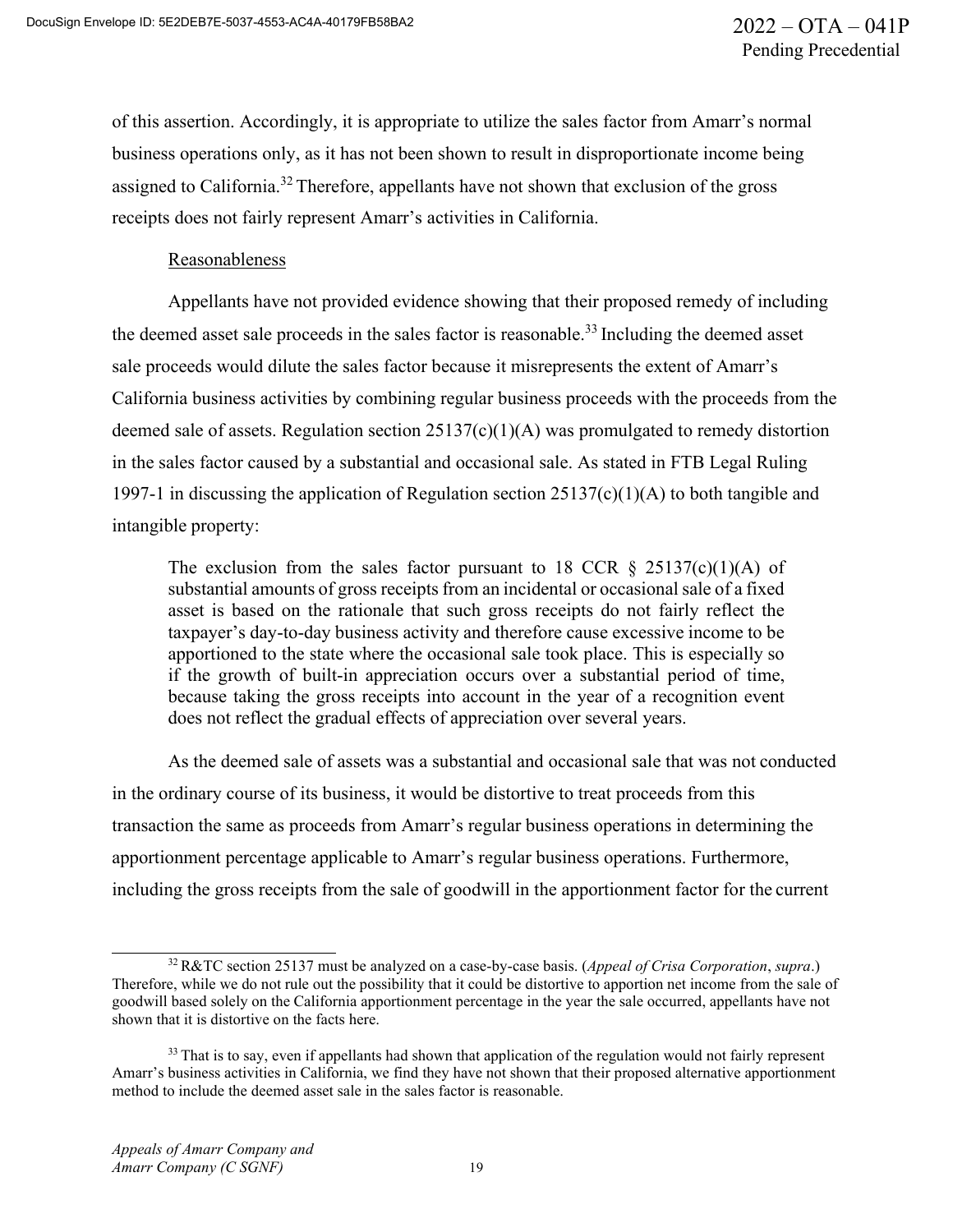of this assertion. Accordingly, it is appropriate to utilize the sales factor from Amarr's normal business operations only, as it has not been shown to result in disproportionate income being assigned to California.32 Therefore, appellants have not shown that exclusion of the gross receipts does not fairly represent Amarr's activities in California.

#### Reasonableness

Appellants have not provided evidence showing that their proposed remedy of including the deemed asset sale proceeds in the sales factor is reasonable.<sup>33</sup> Including the deemed asset sale proceeds would dilute the sales factor because it misrepresents the extent of Amarr's California business activities by combining regular business proceeds with the proceeds from the deemed sale of assets. Regulation section 25137(c)(1)(A) was promulgated to remedy distortion in the sales factor caused by a substantial and occasional sale. As stated in FTB Legal Ruling 1997-1 in discussing the application of Regulation section 25137(c)(1)(A) to both tangible and intangible property:

The exclusion from the sales factor pursuant to 18 CCR  $\S$  25137(c)(1)(A) of substantial amounts of gross receipts from an incidental or occasional sale of a fixed asset is based on the rationale that such gross receipts do not fairly reflect the taxpayer's day-to-day business activity and therefore cause excessive income to be apportioned to the state where the occasional sale took place. This is especially so if the growth of built-in appreciation occurs over a substantial period of time, because taking the gross receipts into account in the year of a recognition event does not reflect the gradual effects of appreciation over several years.

As the deemed sale of assets was a substantial and occasional sale that was not conducted in the ordinary course of its business, it would be distortive to treat proceeds from this transaction the same as proceeds from Amarr's regular business operations in determining the apportionment percentage applicable to Amarr's regular business operations. Furthermore, including the gross receipts from the sale of goodwill in the apportionment factor for the current

<sup>32</sup> R&TC section 25137 must be analyzed on a case-by-case basis. (*Appeal of Crisa Corporation*, *supra*.) Therefore, while we do not rule out the possibility that it could be distortive to apportion net income from the sale of goodwill based solely on the California apportionment percentage in the year the sale occurred, appellants have not shown that it is distortive on the facts here.

<sup>&</sup>lt;sup>33</sup> That is to say, even if appellants had shown that application of the regulation would not fairly represent Amarr's business activities in California, we find they have not shown that their proposed alternative apportionment method to include the deemed asset sale in the sales factor is reasonable.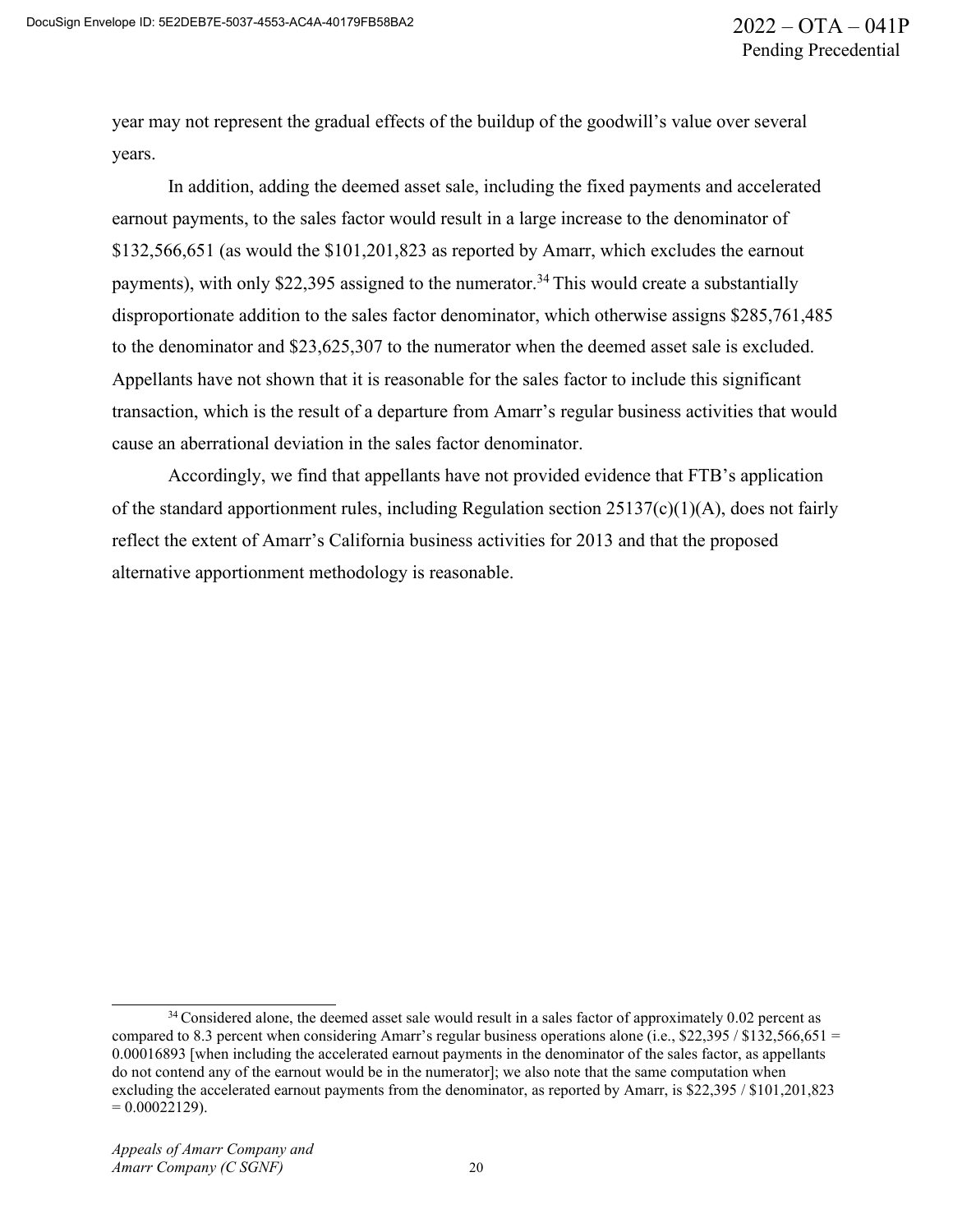year may not represent the gradual effects of the buildup of the goodwill's value over several years.

In addition, adding the deemed asset sale, including the fixed payments and accelerated earnout payments, to the sales factor would result in a large increase to the denominator of \$132,566,651 (as would the \$101,201,823 as reported by Amarr, which excludes the earnout payments), with only \$22,395 assigned to the numerator.<sup>34</sup> This would create a substantially disproportionate addition to the sales factor denominator, which otherwise assigns \$285,761,485 to the denominator and \$23,625,307 to the numerator when the deemed asset sale is excluded. Appellants have not shown that it is reasonable for the sales factor to include this significant transaction, which is the result of a departure from Amarr's regular business activities that would cause an aberrational deviation in the sales factor denominator.

Accordingly, we find that appellants have not provided evidence that FTB's application of the standard apportionment rules, including Regulation section 25137(c)(1)(A), does not fairly reflect the extent of Amarr's California business activities for 2013 and that the proposed alternative apportionment methodology is reasonable.

<sup>&</sup>lt;sup>34</sup> Considered alone, the deemed asset sale would result in a sales factor of approximately 0.02 percent as compared to 8.3 percent when considering Amarr's regular business operations alone (i.e., \$22,395 / \$132,566,651 = 0.00016893 [when including the accelerated earnout payments in the denominator of the sales factor, as appellants do not contend any of the earnout would be in the numerator]; we also note that the same computation when excluding the accelerated earnout payments from the denominator, as reported by Amarr, is \$22,395 / \$101,201,823  $= 0.00022129$ ).